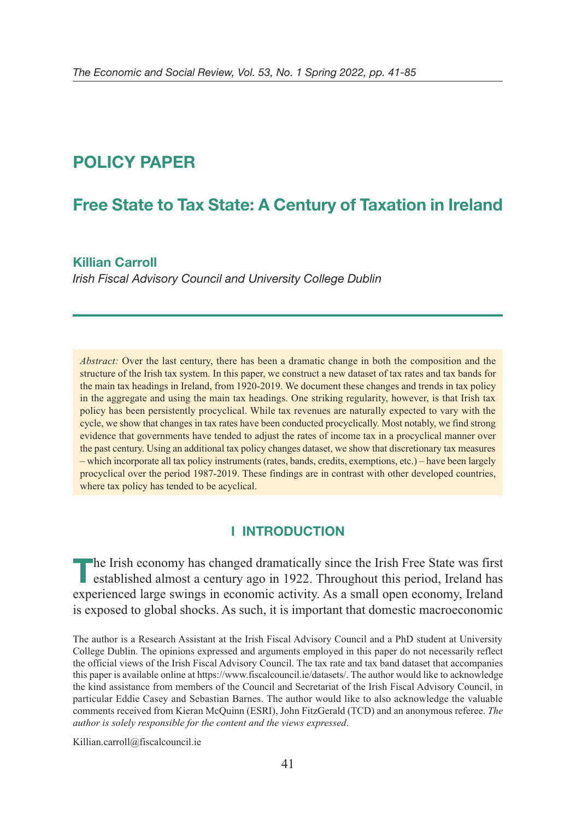# **POLICY PAPER**

# **Free State to Tax State: A Century of Taxation in Ireland**

## **Killian Carroll**

Irish Fiscal Advisory Council and University College Dublin

*Abstract:* Over the last century, there has been a dramatic change in both the composition and the structure of the Irish tax system. In this paper, we construct a new dataset of tax rates and tax bands for the main tax headings in Ireland, from 1920-2019. We document these changes and trends in tax policy in the aggregate and using the main tax headings. One striking regularity, however, is that Irish tax policy has been persistently procyclical. While tax revenues are naturally expected to vary with the cycle, we show that changes in tax rates have been conducted procyclically. Most notably, we find strong evidence that governments have tended to adjust the rates of income tax in a procyclical manner over the past century. Using an additional tax policy changes dataset, we show that discretionary tax measures – which incorporate all tax policy instruments (rates, bands, credits, exemptions, etc.) – have been largely procyclical over the period 1987-2019. These findings are in contrast with other developed countries, where tax policy has tended to be acyclical.

## **I INTRODUCTION**

**T**he Irish economy has changed dramatically since the Irish Free State was first established almost a century ago in 1922. Throughout this period, Ireland has experienced large swings in economic activity. As a small open economy, Ireland is exposed to global shocks. As such, it is important that domestic macroeconomic

The author is a Research Assistant at the Irish Fiscal Advisory Council and a PhD student at University College Dublin. The opinions expressed and arguments employed in this paper do not necessarily reflect the official views of the Irish Fiscal Advisory Council. The tax rate and tax band dataset that accompanies this paper is available online at https://www.fiscalcouncil.ie/datasets/. The author would like to acknowledge the kind assistance from members of the Council and Secretariat of the Irish Fiscal Advisory Council, in particular Eddie Casey and Sebastian Barnes. The author would like to also acknowledge the valuable comments received from Kieran McQuinn (ESRI), John FitzGerald (TCD) and an anonymous referee. *The author is solely responsible for the content and the views expressed*.

Killian.carroll@fiscalcouncil.ie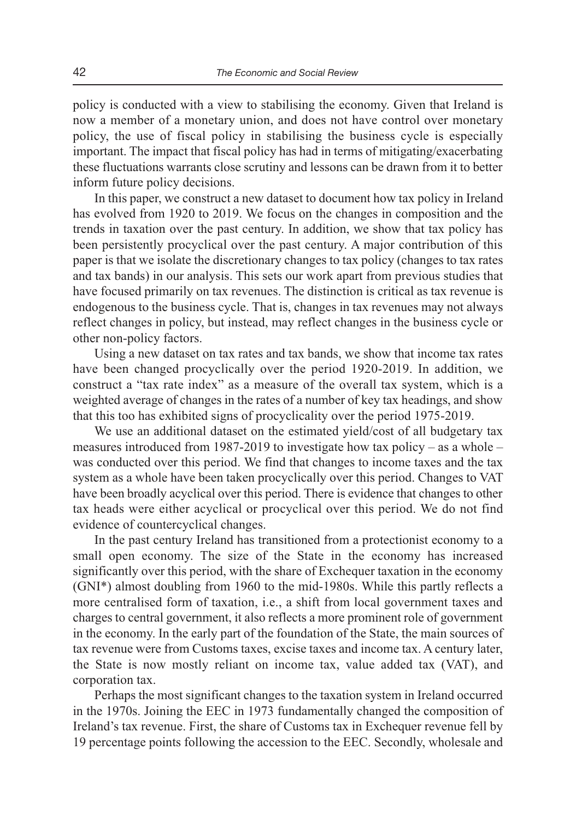policy is conducted with a view to stabilising the economy. Given that Ireland is now a member of a monetary union, and does not have control over monetary policy, the use of fiscal policy in stabilising the business cycle is especially important. The impact that fiscal policy has had in terms of mitigating/exacerbating these fluctuations warrants close scrutiny and lessons can be drawn from it to better inform future policy decisions.

In this paper, we construct a new dataset to document how tax policy in Ireland has evolved from 1920 to 2019. We focus on the changes in composition and the trends in taxation over the past century. In addition, we show that tax policy has been persistently procyclical over the past century. A major contribution of this paper is that we isolate the discretionary changes to tax policy (changes to tax rates and tax bands) in our analysis. This sets our work apart from previous studies that have focused primarily on tax revenues. The distinction is critical as tax revenue is endogenous to the business cycle. That is, changes in tax revenues may not always reflect changes in policy, but instead, may reflect changes in the business cycle or other non-policy factors.

Using a new dataset on tax rates and tax bands, we show that income tax rates have been changed procyclically over the period 1920-2019. In addition, we construct a "tax rate index" as a measure of the overall tax system, which is a weighted average of changes in the rates of a number of key tax headings, and show that this too has exhibited signs of procyclicality over the period 1975-2019.

We use an additional dataset on the estimated yield/cost of all budgetary tax measures introduced from 1987-2019 to investigate how tax policy – as a whole – was conducted over this period. We find that changes to income taxes and the tax system as a whole have been taken procyclically over this period. Changes to VAT have been broadly acyclical over this period. There is evidence that changes to other tax heads were either acyclical or procyclical over this period. We do not find evidence of countercyclical changes.

In the past century Ireland has transitioned from a protectionist economy to a small open economy. The size of the State in the economy has increased significantly over this period, with the share of Exchequer taxation in the economy (GNI\*) almost doubling from 1960 to the mid-1980s. While this partly reflects a more centralised form of taxation, i.e., a shift from local government taxes and charges to central government, it also reflects a more prominent role of government in the economy. In the early part of the foundation of the State, the main sources of tax revenue were from Customs taxes, excise taxes and income tax. A century later, the State is now mostly reliant on income tax, value added tax (VAT), and corporation tax.

Perhaps the most significant changes to the taxation system in Ireland occurred in the 1970s. Joining the EEC in 1973 fundamentally changed the composition of Ireland's tax revenue. First, the share of Customs tax in Exchequer revenue fell by 19 percentage points following the accession to the EEC. Secondly, wholesale and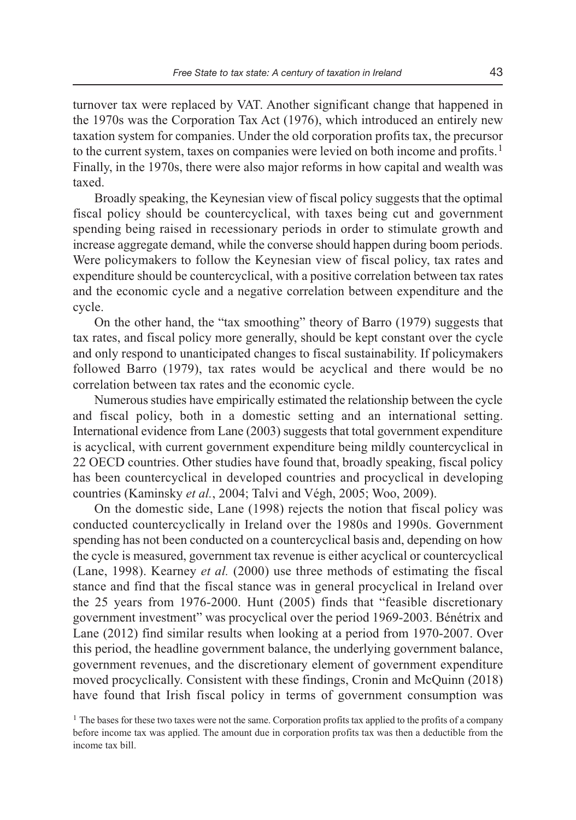turnover tax were replaced by VAT. Another significant change that happened in the 1970s was the Corporation Tax Act (1976), which introduced an entirely new taxation system for companies. Under the old corporation profits tax, the precursor to the current system, taxes on companies were levied on both income and profits.<sup>1</sup> Finally, in the 1970s, there were also major reforms in how capital and wealth was taxed.

Broadly speaking, the Keynesian view of fiscal policy suggests that the optimal fiscal policy should be countercyclical, with taxes being cut and government spending being raised in recessionary periods in order to stimulate growth and increase aggregate demand, while the converse should happen during boom periods. Were policymakers to follow the Keynesian view of fiscal policy, tax rates and expenditure should be countercyclical, with a positive correlation between tax rates and the economic cycle and a negative correlation between expenditure and the cycle.

On the other hand, the "tax smoothing" theory of Barro (1979) suggests that tax rates, and fiscal policy more generally, should be kept constant over the cycle and only respond to unanticipated changes to fiscal sustainability. If policymakers followed Barro (1979), tax rates would be acyclical and there would be no correlation between tax rates and the economic cycle.

Numerous studies have empirically estimated the relationship between the cycle and fiscal policy, both in a domestic setting and an international setting. International evidence from Lane (2003) suggests that total government expenditure is acyclical, with current government expenditure being mildly countercyclical in 22 OECD countries. Other studies have found that, broadly speaking, fiscal policy has been countercyclical in developed countries and procyclical in developing countries (Kaminsky *et al.*, 2004; Talvi and Végh, 2005; Woo, 2009).

On the domestic side, Lane (1998) rejects the notion that fiscal policy was conducted countercyclically in Ireland over the 1980s and 1990s. Government spending has not been conducted on a countercyclical basis and, depending on how the cycle is measured, government tax revenue is either acyclical or countercyclical (Lane, 1998). Kearney *et al.* (2000) use three methods of estimating the fiscal stance and find that the fiscal stance was in general procyclical in Ireland over the 25 years from 1976-2000. Hunt (2005) finds that "feasible discretionary government investment" was procyclical over the period 1969-2003. Bénétrix and Lane (2012) find similar results when looking at a period from 1970-2007. Over this period, the headline government balance, the underlying government balance, government revenues, and the discretionary element of government expenditure moved procyclically. Consistent with these findings, Cronin and McQuinn (2018) have found that Irish fiscal policy in terms of government consumption was

<sup>&</sup>lt;sup>1</sup> The bases for these two taxes were not the same. Corporation profits tax applied to the profits of a company before income tax was applied. The amount due in corporation profits tax was then a deductible from the income tax bill.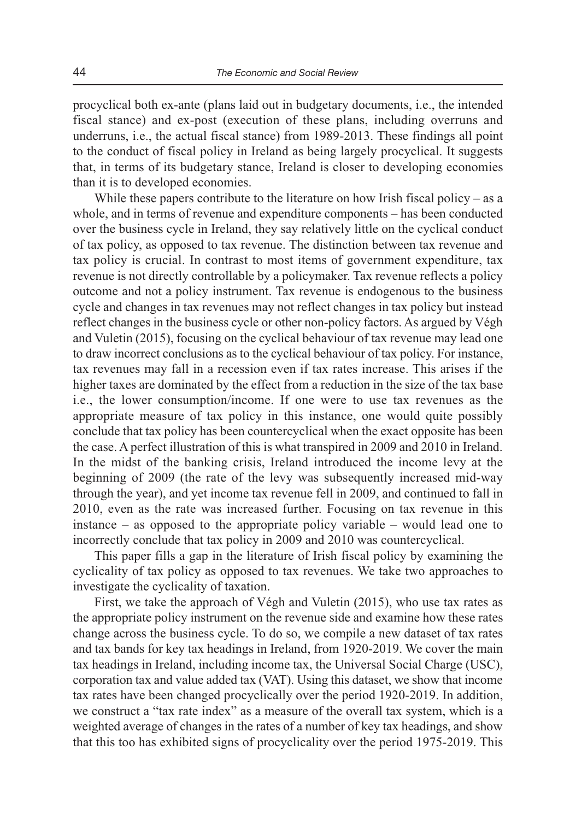procyclical both ex-ante (plans laid out in budgetary documents, i.e., the intended fiscal stance) and ex-post (execution of these plans, including overruns and underruns, i.e., the actual fiscal stance) from 1989-2013. These findings all point to the conduct of fiscal policy in Ireland as being largely procyclical. It suggests that, in terms of its budgetary stance, Ireland is closer to developing economies than it is to developed economies.

While these papers contribute to the literature on how Irish fiscal policy – as a whole, and in terms of revenue and expenditure components – has been conducted over the business cycle in Ireland, they say relatively little on the cyclical conduct of tax policy, as opposed to tax revenue. The distinction between tax revenue and tax policy is crucial. In contrast to most items of government expenditure, tax revenue is not directly controllable by a policymaker. Tax revenue reflects a policy outcome and not a policy instrument. Tax revenue is endogenous to the business cycle and changes in tax revenues may not reflect changes in tax policy but instead reflect changes in the business cycle or other non-policy factors. As argued by Végh and Vuletin (2015), focusing on the cyclical behaviour of tax revenue may lead one to draw incorrect conclusions as to the cyclical behaviour of tax policy. For instance, tax revenues may fall in a recession even if tax rates increase. This arises if the higher taxes are dominated by the effect from a reduction in the size of the tax base i.e., the lower consumption/income. If one were to use tax revenues as the appropriate measure of tax policy in this instance, one would quite possibly conclude that tax policy has been countercyclical when the exact opposite has been the case. A perfect illustration of this is what transpired in 2009 and 2010 in Ireland. In the midst of the banking crisis, Ireland introduced the income levy at the beginning of 2009 (the rate of the levy was subsequently increased mid-way through the year), and yet income tax revenue fell in 2009, and continued to fall in 2010, even as the rate was increased further. Focusing on tax revenue in this instance – as opposed to the appropriate policy variable – would lead one to incorrectly conclude that tax policy in 2009 and 2010 was countercyclical.

This paper fills a gap in the literature of Irish fiscal policy by examining the cyclicality of tax policy as opposed to tax revenues. We take two approaches to investigate the cyclicality of taxation.

First, we take the approach of Végh and Vuletin (2015), who use tax rates as the appropriate policy instrument on the revenue side and examine how these rates change across the business cycle. To do so, we compile a new dataset of tax rates and tax bands for key tax headings in Ireland, from 1920-2019. We cover the main tax headings in Ireland, including income tax, the Universal Social Charge (USC), corporation tax and value added tax (VAT). Using this dataset, we show that income tax rates have been changed procyclically over the period 1920-2019. In addition, we construct a "tax rate index" as a measure of the overall tax system, which is a weighted average of changes in the rates of a number of key tax headings, and show that this too has exhibited signs of procyclicality over the period 1975-2019. This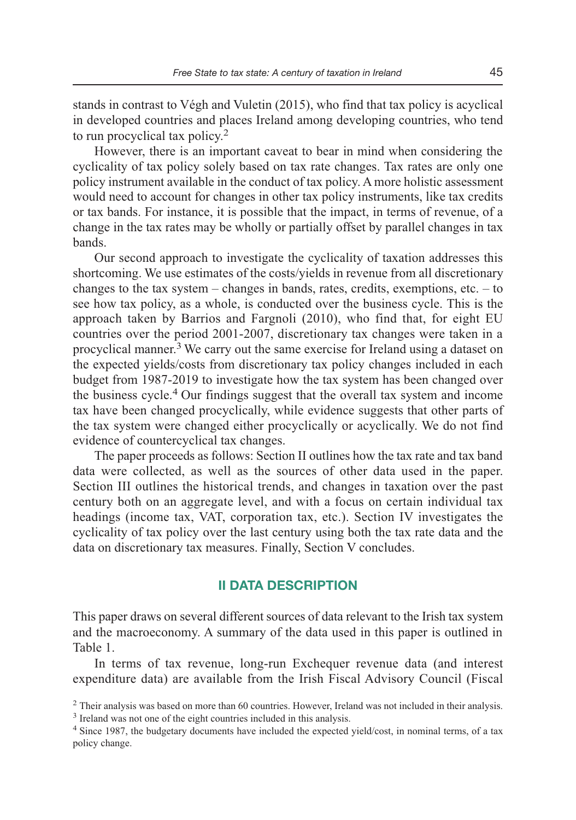stands in contrast to Végh and Vuletin (2015), who find that tax policy is acyclical in developed countries and places Ireland among developing countries, who tend to run procyclical tax policy.<sup>2</sup>

However, there is an important caveat to bear in mind when considering the cyclicality of tax policy solely based on tax rate changes. Tax rates are only one policy instrument available in the conduct of tax policy. A more holistic assessment would need to account for changes in other tax policy instruments, like tax credits or tax bands. For instance, it is possible that the impact, in terms of revenue, of a change in the tax rates may be wholly or partially offset by parallel changes in tax bands.

Our second approach to investigate the cyclicality of taxation addresses this shortcoming. We use estimates of the costs/yields in revenue from all discretionary changes to the tax system – changes in bands, rates, credits, exemptions, etc.  $-$  to see how tax policy, as a whole, is conducted over the business cycle. This is the approach taken by Barrios and Fargnoli (2010), who find that, for eight EU countries over the period 2001-2007, discretionary tax changes were taken in a procyclical manner.<sup>3</sup> We carry out the same exercise for Ireland using a dataset on the expected yields/costs from discretionary tax policy changes included in each budget from 1987-2019 to investigate how the tax system has been changed over the business cycle.4 Our findings suggest that the overall tax system and income tax have been changed procyclically, while evidence suggests that other parts of the tax system were changed either procyclically or acyclically. We do not find evidence of countercyclical tax changes.

The paper proceeds as follows: Section II outlines how the tax rate and tax band data were collected, as well as the sources of other data used in the paper. Section III outlines the historical trends, and changes in taxation over the past century both on an aggregate level, and with a focus on certain individual tax headings (income tax, VAT, corporation tax, etc.). Section IV investigates the cyclicality of tax policy over the last century using both the tax rate data and the data on discretionary tax measures. Finally, Section V concludes.

## **II DATA DESCRIPTION**

This paper draws on several different sources of data relevant to the Irish tax system and the macroeconomy. A summary of the data used in this paper is outlined in Table 1.

In terms of tax revenue, long-run Exchequer revenue data (and interest expenditure data) are available from the Irish Fiscal Advisory Council (Fiscal

<sup>&</sup>lt;sup>2</sup> Their analysis was based on more than 60 countries. However, Ireland was not included in their analysis. <sup>3</sup> Ireland was not one of the eight countries included in this analysis.

<sup>4</sup>Since 1987, the budgetary documents have included the expected yield/cost, in nominal terms, of a tax policy change.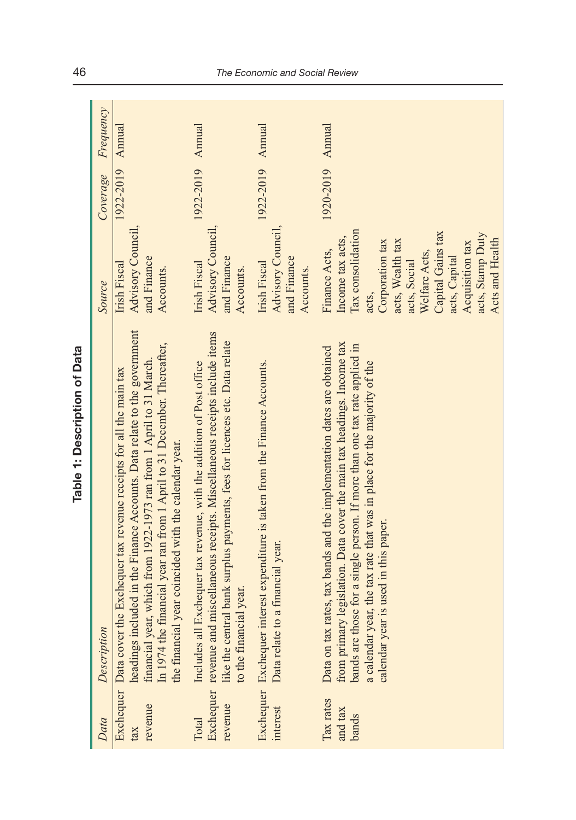| Data                          | Description                                                                                                                                                                                                                                                                                                                                                          | Source                                                                                                                                                                                                                                  | Coverage         | Frequency |
|-------------------------------|----------------------------------------------------------------------------------------------------------------------------------------------------------------------------------------------------------------------------------------------------------------------------------------------------------------------------------------------------------------------|-----------------------------------------------------------------------------------------------------------------------------------------------------------------------------------------------------------------------------------------|------------------|-----------|
| revenue                       | headings included in the Finance Accounts. Data relate to the government<br>In 1974 the financial year ran from 1 April to 31 December. Thereafter,<br>financial year, which from 1922-1973 ran from 1 April to 31 March.<br>the Exchequer tax revenue receipts for all the main tax<br>the financial year coincided with the calendar year.<br>Exchequer Data cover | Advisory Council,<br>and Finance<br>Irish Fiscal<br>Accounts.                                                                                                                                                                           | 1922-2019 Annual |           |
| revenue<br>Total              | Exchequer revenue and miscellaneous receipts. Miscellaneous receipts include items<br>like the central bank surplus payments, fees for licences etc. Data relate<br>I Exchequer tax revenue, with the addition of Post office<br>to the financial year.<br>Includes all                                                                                              | Advisory Council,<br>and Finance<br>Irish Fiscal<br>Accounts.                                                                                                                                                                           | 1922-2019 Annual |           |
| interest                      | interest expenditure is taken from the Finance Accounts.<br>Data relate to a financial year.<br>Exchequer Exchequer                                                                                                                                                                                                                                                  | Advisory Council,<br>and Finance<br>Irish Fiscal<br>Accounts.                                                                                                                                                                           | 1922-2019 Annual |           |
| Tax rates<br>and tax<br>bands | from primary legislation. Data cover the main tax headings. Income tax<br>bands are those for a single person. If more than one tax rate applied in<br>Data on tax rates, tax bands and the implementation dates are obtained<br>a calendar year, the tax rate that was in place for the majority of the<br>calendar year is used in this paper.                     | Tax consolidation<br>Capital Gains tax<br>acts, Stamp Duty<br>Income tax acts,<br>Acts and Health<br>Corporation tax<br>acts, Wealth tax<br>Acquisition tax<br>Finance Acts,<br>Welfare Acts,<br>acts, Capital<br>acts, Social<br>acts, | 1920-2019 Annual |           |

Table 1: Description of Data **Table 1: Description of Data**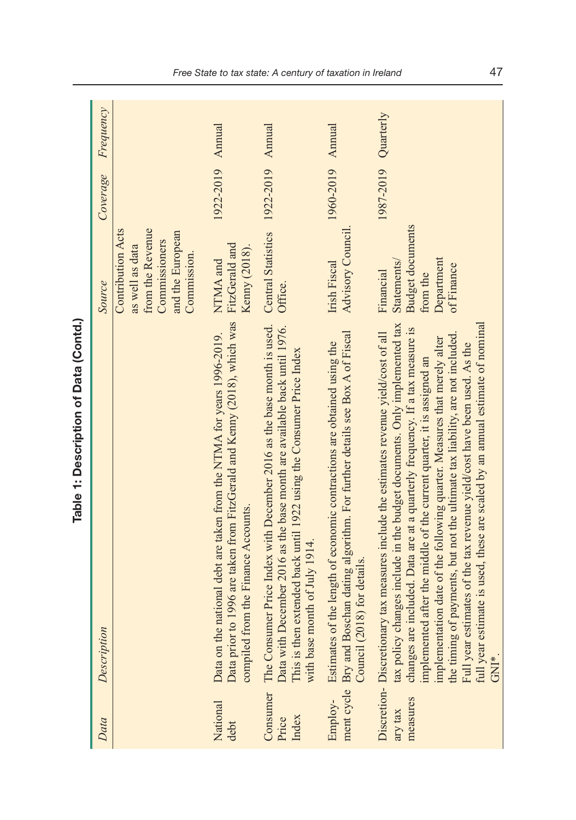| Data                       | Description                                                                                                                                                                                                                                                                                                                                                                                                                                                                                                                                                                                                                                                       | Source                                                                                                              | Coverage         | Frequency |
|----------------------------|-------------------------------------------------------------------------------------------------------------------------------------------------------------------------------------------------------------------------------------------------------------------------------------------------------------------------------------------------------------------------------------------------------------------------------------------------------------------------------------------------------------------------------------------------------------------------------------------------------------------------------------------------------------------|---------------------------------------------------------------------------------------------------------------------|------------------|-----------|
|                            |                                                                                                                                                                                                                                                                                                                                                                                                                                                                                                                                                                                                                                                                   | from the Revenue<br><b>Contribution Acts</b><br>and the European<br>Commissioners<br>as well as data<br>Commission. |                  |           |
| National<br>debt           | Data prior to 1996 are taken from FitzGerald and Kenny (2018), which was<br>Data on the national debt are taken from the NTMA for years 1996-2019.<br>compiled from the Finance Accounts.                                                                                                                                                                                                                                                                                                                                                                                                                                                                         | FitzGerald and<br>Kenny (2018).<br>NTMA and                                                                         | 1922-2019 Annual |           |
| Consumer<br>Index<br>Price | The Consumer Price Index with December 2016 as the base month is used.<br>Data with December 2016 as the base month are available back until 1976.<br>This is then extended back until 1922 using the Consumer Price Index<br>with base month of July 1914.                                                                                                                                                                                                                                                                                                                                                                                                       | Central Statistics 1922-2019<br>Office.                                                                             |                  | Annual    |
| Employ-                    | ment cycle Bry and Boschan dating algorithm. For further details see Box A of Fiscal<br>Estimates of the length of economic contractions are obtained using the<br>Council (2018) for details                                                                                                                                                                                                                                                                                                                                                                                                                                                                     | Advisory Council<br>Irish Fiscal                                                                                    | 1960-2019 Annual |           |
| measures<br>ary tax        | tax policy changes include in the budget documents. Only implemented tax<br>full year estimate is used, these are scaled by an annual estimate of nominal<br>included. Data are at a quarterly frequency. If a tax measure is<br>Discretion- Discretionary tax measures include the estimates revenue yield/cost of all<br>the timing of payments, but not the ultimate tax liability, are not included<br>implementation date of the following quarter. Measures that merely alter<br>Full year estimates of the tax revenue yield/cost have been used. As the<br>implemented after the middle of the current quarter, it is assigned an<br>changes are<br>GNI*. | <b>Budget documents</b><br>Department<br>Statements/<br>of Finance<br>Financial<br>from the                         | 1987-2019        | Quarterly |

Table 1: Description of Data (Contd.) **Table 1: Description of Data (Contd.)**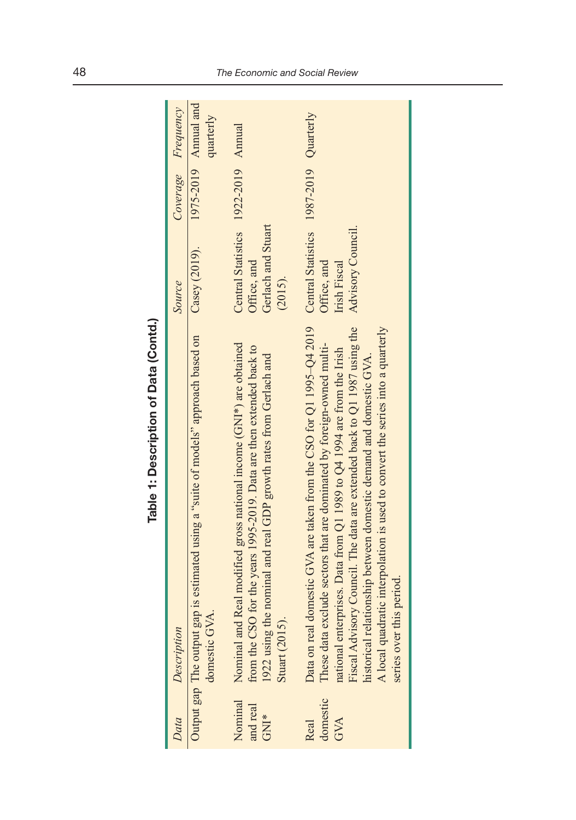| Data                        | Description                                                                                                                                                                                                                                                                                                                                                                                                                                                                                                                     | Source                                                                              | Coverage Frequency                |
|-----------------------------|---------------------------------------------------------------------------------------------------------------------------------------------------------------------------------------------------------------------------------------------------------------------------------------------------------------------------------------------------------------------------------------------------------------------------------------------------------------------------------------------------------------------------------|-------------------------------------------------------------------------------------|-----------------------------------|
|                             | Output gap The output gap is estimated using a "suite of models" approach based on<br>domestic GVA.                                                                                                                                                                                                                                                                                                                                                                                                                             | Casey (2019).                                                                       | 1975-2019 Annual and<br>quarterly |
| Nominal<br>and real<br>GNI* | Nominal and Real modified gross national income (GNI*) are obtained<br>from the CSO for the years 1995-2019. Data are then extended back to<br>1922 using the nominal and real GDP growth rates from Gerlach and<br>Stuart (2015).                                                                                                                                                                                                                                                                                              | Central Statistics 1922-2019 Annual<br>Gerlach and Stuart<br>Office, and<br>(2015). |                                   |
| domestic<br>GVA<br>Real     | Data on real domestic GVA are taken from the CSO for Q1 1995-Q4 2019 Central Statistics 1987-2019 Quarterly<br>Fiscal Advisory Council. The data are extended back to Q1 1987 using the<br>A local quadratic interpolation is used to convert the series into a quarterly<br>These data exclude sectors that are dominated by foreign-owned multi-<br>national enterprises. Data from Q1 1989 to Q4 1994 are from the Irish<br>historical relationship between domestic demand and domestic GVA.<br>this period.<br>series over | Advisory Council.<br>Office, and<br>Irish Fiscal                                    |                                   |

Table 1: Description of Data (Contd.) **Table 1: Description of Data (Contd.)**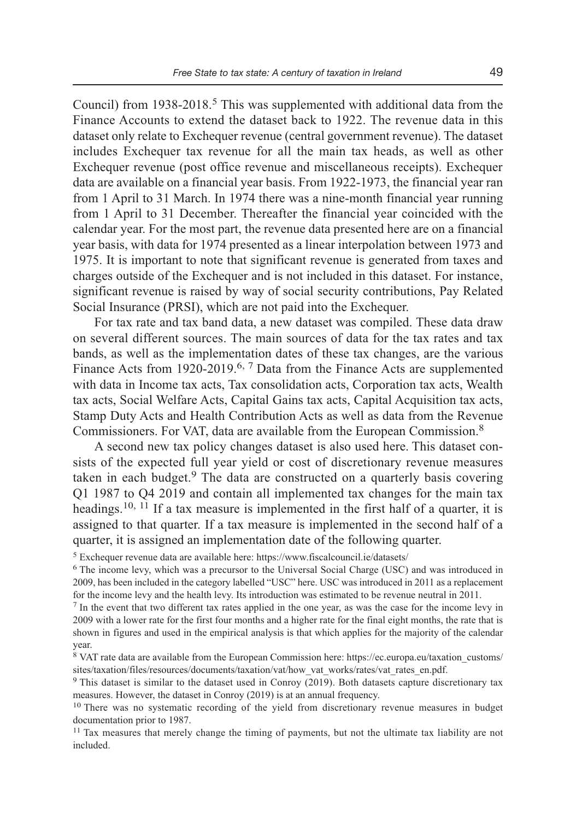Council) from 1938-2018.<sup>5</sup> This was supplemented with additional data from the Finance Accounts to extend the dataset back to 1922. The revenue data in this dataset only relate to Exchequer revenue (central government revenue). The dataset includes Exchequer tax revenue for all the main tax heads, as well as other Exchequer revenue (post office revenue and miscellaneous receipts). Exchequer data are available on a financial year basis. From 1922-1973, the financial year ran from 1 April to 31 March. In 1974 there was a nine-month financial year running from 1 April to 31 December. Thereafter the financial year coincided with the calendar year. For the most part, the revenue data presented here are on a financial year basis, with data for 1974 presented as a linear interpolation between 1973 and 1975. It is important to note that significant revenue is generated from taxes and charges outside of the Exchequer and is not included in this dataset. For instance, significant revenue is raised by way of social security contributions, Pay Related Social Insurance (PRSI), which are not paid into the Exchequer.

For tax rate and tax band data, a new dataset was compiled. These data draw on several different sources. The main sources of data for the tax rates and tax bands, as well as the implementation dates of these tax changes, are the various Finance Acts from 1920-2019.<sup>6, 7</sup> Data from the Finance Acts are supplemented with data in Income tax acts, Tax consolidation acts, Corporation tax acts, Wealth tax acts, Social Welfare Acts, Capital Gains tax acts, Capital Acquisition tax acts, Stamp Duty Acts and Health Contribution Acts as well as data from the Revenue Commissioners. For VAT, data are available from the European Commission.<sup>8</sup>

A second new tax policy changes dataset is also used here. This dataset consists of the expected full year yield or cost of discretionary revenue measures taken in each budget.<sup>9</sup> The data are constructed on a quarterly basis covering Q1 1987 to Q4 2019 and contain all implemented tax changes for the main tax headings.<sup>10, 11</sup> If a tax measure is implemented in the first half of a quarter, it is assigned to that quarter. If a tax measure is implemented in the second half of a quarter, it is assigned an implementation date of the following quarter.

5 Exchequer revenue data are available here: https://www.fiscalcouncil.ie/datasets/

<sup>6</sup> The income levy, which was a precursor to the Universal Social Charge (USC) and was introduced in 2009, has been included in the category labelled "USC" here. USC was introduced in 2011 as a replacement for the income levy and the health levy. Its introduction was estimated to be revenue neutral in 2011.

<sup>7</sup> In the event that two different tax rates applied in the one year, as was the case for the income levy in 2009 with a lower rate for the first four months and a higher rate for the final eight months, the rate that is shown in figures and used in the empirical analysis is that which applies for the majority of the calendar year.

8 VAT rate data are available from the European Commission here: https://ec.europa.eu/taxation\_customs/ sites/taxation/files/resources/documents/taxation/vat/how\_vat\_works/rates/vat\_rates\_en.pdf.

<sup>9</sup> This dataset is similar to the dataset used in Conroy (2019). Both datasets capture discretionary tax measures. However, the dataset in Conroy (2019) is at an annual frequency.

<sup>10</sup> There was no systematic recording of the yield from discretionary revenue measures in budget documentation prior to 1987.

<sup>11</sup> Tax measures that merely change the timing of payments, but not the ultimate tax liability are not included.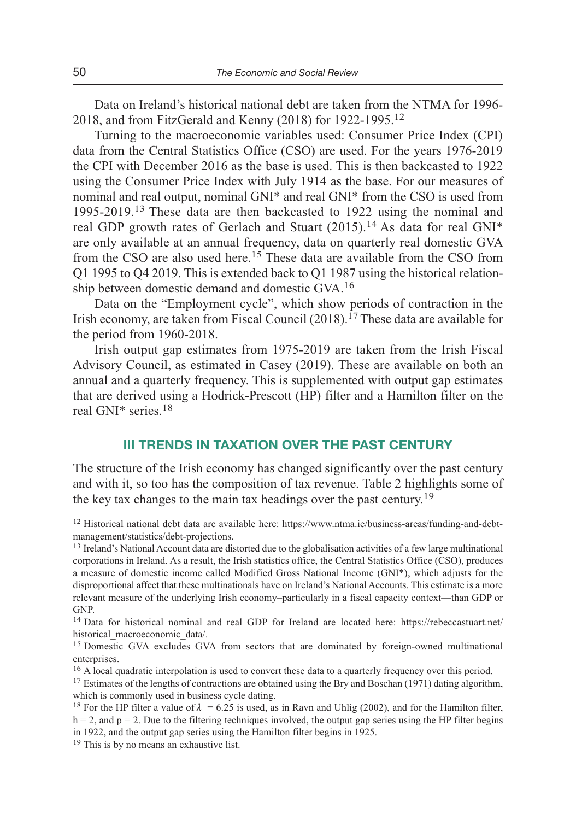Data on Ireland's historical national debt are taken from the NTMA for 1996- 2018, and from FitzGerald and Kenny (2018) for 1922-1995.<sup>12</sup>

Turning to the macroeconomic variables used: Consumer Price Index (CPI) data from the Central Statistics Office (CSO) are used. For the years 1976-2019 the CPI with December 2016 as the base is used. This is then backcasted to 1922 using the Consumer Price Index with July 1914 as the base. For our measures of nominal and real output, nominal GNI\* and real GNI\* from the CSO is used from 1995-2019.13 These data are then backcasted to 1922 using the nominal and real GDP growth rates of Gerlach and Stuart  $(2015)$ .<sup>14</sup> As data for real GNI<sup>\*</sup> are only available at an annual frequency, data on quarterly real domestic GVA from the CSO are also used here.<sup>15</sup> These data are available from the CSO from Q1 1995 to Q4 2019. This is extended back to Q1 1987 using the historical relation ship between domestic demand and domestic GVA.<sup>16</sup>

Data on the "Employment cycle", which show periods of contraction in the Irish economy, are taken from Fiscal Council  $(2018).<sup>17</sup>$  These data are available for the period from 1960-2018.

Irish output gap estimates from 1975-2019 are taken from the Irish Fiscal Advisory Council, as estimated in Casey (2019). These are available on both an annual and a quarterly frequency. This is supplemented with output gap estimates that are derived using a Hodrick-Prescott (HP) filter and a Hamilton filter on the real GNI\* series.<sup>18</sup>

## **III TRENDS IN TAXATION OVER THE PAST CENTURY**

The structure of the Irish economy has changed significantly over the past century and with it, so too has the composition of tax revenue. Table 2 highlights some of the key tax changes to the main tax headings over the past century.<sup>19</sup>

<sup>12</sup> Historical national debt data are available here: https://www.ntma.ie/business-areas/funding-and-debtmanagement/statistics/debt-projections.

<sup>13</sup> Ireland's National Account data are distorted due to the globalisation activities of a few large multinational corporations in Ireland. As a result, the Irish statistics office, the Central Statistics Office (CSO), produces a measure of domestic income called Modified Gross National Income (GNI\*), which adjusts for the disproportional affect that these multinationals have on Ireland's National Accounts. This estimate is a more relevant measure of the underlying Irish economy–particularly in a fiscal capacity context—than GDP or GNP.

<sup>14</sup> Data for historical nominal and real GDP for Ireland are located here: https://rebeccastuart.net/ historical macroeconomic data/.

<sup>15</sup> Domestic GVA excludes GVA from sectors that are dominated by foreign-owned multinational enterprises.

<sup>16</sup> A local quadratic interpolation is used to convert these data to a quarterly frequency over this period.

<sup>17</sup> Estimates of the lengths of contractions are obtained using the Bry and Boschan (1971) dating algorithm, which is commonly used in business cycle dating.

<sup>19</sup> This is by no means an exhaustive list.

<sup>&</sup>lt;sup>18</sup> For the HP filter a value of  $\lambda = 6.25$  is used, as in Ravn and Uhlig (2002), and for the Hamilton filter,  $h = 2$ , and  $p = 2$ . Due to the filtering techniques involved, the output gap series using the HP filter begins in 1922, and the output gap series using the Hamilton filter begins in 1925.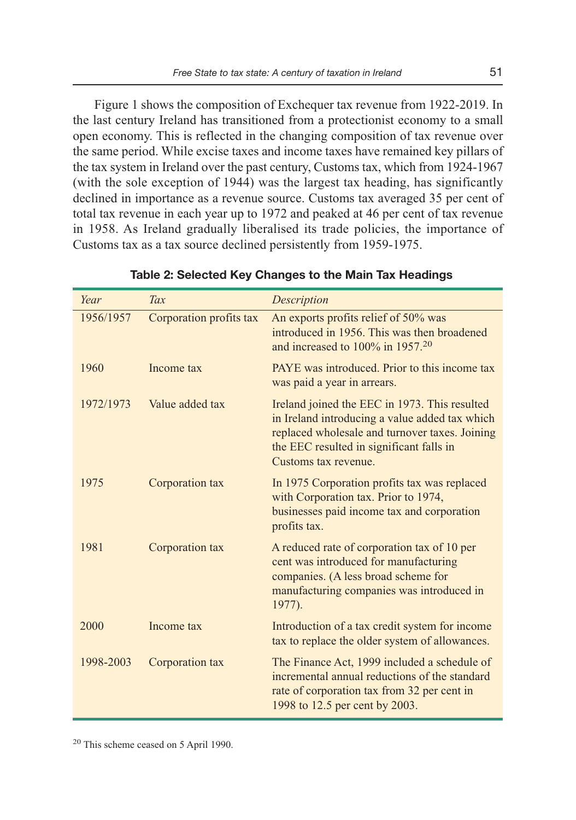Figure 1 shows the composition of Exchequer tax revenue from 1922-2019. In the last century Ireland has transitioned from a protectionist economy to a small open economy. This is reflected in the changing composition of tax revenue over the same period. While excise taxes and income taxes have remained key pillars of the tax system in Ireland over the past century, Customs tax, which from 1924-1967 (with the sole exception of 1944) was the largest tax heading, has significantly declined in importance as a revenue source. Customs tax averaged 35 per cent of total tax revenue in each year up to 1972 and peaked at 46 per cent of tax revenue in 1958. As Ireland gradually liberalised its trade policies, the importance of Customs tax as a tax source declined persistently from 1959-1975.

| Year      | Tax                     | Description                                                                                                                                                                                                           |
|-----------|-------------------------|-----------------------------------------------------------------------------------------------------------------------------------------------------------------------------------------------------------------------|
| 1956/1957 | Corporation profits tax | An exports profits relief of 50% was<br>introduced in 1956. This was then broadened<br>and increased to $100\%$ in $195720$                                                                                           |
| 1960      | Income tax              | PAYE was introduced. Prior to this income tax<br>was paid a year in arrears.                                                                                                                                          |
| 1972/1973 | Value added tax         | Ireland joined the EEC in 1973. This resulted<br>in Ireland introducing a value added tax which<br>replaced wholesale and turnover taxes. Joining<br>the EEC resulted in significant falls in<br>Customs tax revenue. |
| 1975      | Corporation tax         | In 1975 Corporation profits tax was replaced<br>with Corporation tax. Prior to 1974,<br>businesses paid income tax and corporation<br>profits tax.                                                                    |
| 1981      | Corporation tax         | A reduced rate of corporation tax of 10 per<br>cent was introduced for manufacturing<br>companies. (A less broad scheme for<br>manufacturing companies was introduced in<br>1977).                                    |
| 2000      | Income tax              | Introduction of a tax credit system for income<br>tax to replace the older system of allowances.                                                                                                                      |
| 1998-2003 | Corporation tax         | The Finance Act, 1999 included a schedule of<br>incremental annual reductions of the standard<br>rate of corporation tax from 32 per cent in<br>1998 to 12.5 per cent by 2003.                                        |

#### **Table 2: Selected Key Changes to the Main Tax Headings**

<sup>20</sup> This scheme ceased on 5 April 1990.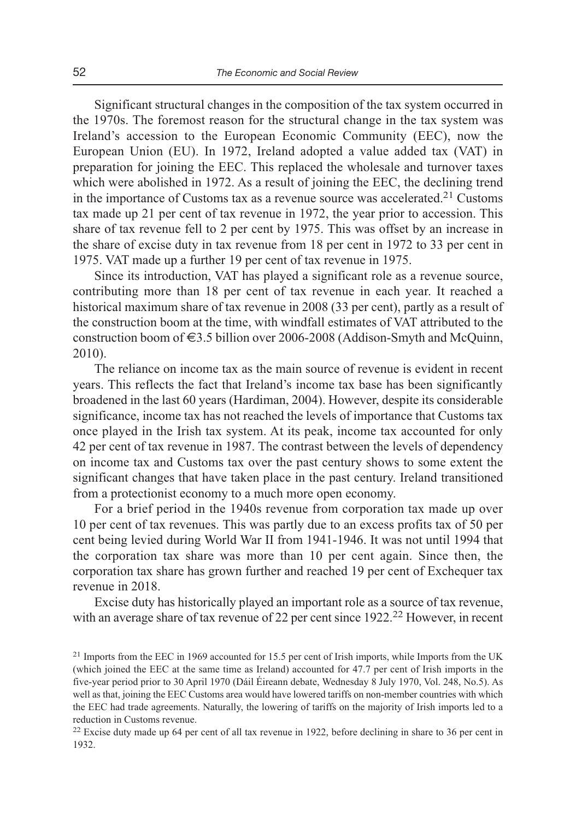Significant structural changes in the composition of the tax system occurred in the 1970s. The foremost reason for the structural change in the tax system was Ireland's accession to the European Economic Community (EEC), now the European Union (EU). In 1972, Ireland adopted a value added tax (VAT) in preparation for joining the EEC. This replaced the wholesale and turnover taxes which were abolished in 1972. As a result of joining the EEC, the declining trend in the importance of Customs tax as a revenue source was accelerated.<sup>21</sup> Customs tax made up 21 per cent of tax revenue in 1972, the year prior to accession. This share of tax revenue fell to 2 per cent by 1975. This was offset by an increase in the share of excise duty in tax revenue from 18 per cent in 1972 to 33 per cent in 1975. VAT made up a further 19 per cent of tax revenue in 1975.

Since its introduction, VAT has played a significant role as a revenue source, contributing more than 18 per cent of tax revenue in each year. It reached a historical maximum share of tax revenue in 2008 (33 per cent), partly as a result of the construction boom at the time, with windfall estimates of VAT attributed to the construction boom of  $\epsilon$ 3.5 billion over 2006-2008 (Addison-Smyth and McQuinn, 2010).

The reliance on income tax as the main source of revenue is evident in recent years. This reflects the fact that Ireland's income tax base has been significantly broadened in the last 60 years (Hardiman, 2004). However, despite its considerable significance, income tax has not reached the levels of importance that Customs tax once played in the Irish tax system. At its peak, income tax accounted for only 42 per cent of tax revenue in 1987. The contrast between the levels of dependency on income tax and Customs tax over the past century shows to some extent the significant changes that have taken place in the past century. Ireland transitioned from a protectionist economy to a much more open economy.

For a brief period in the 1940s revenue from corporation tax made up over 10 per cent of tax revenues. This was partly due to an excess profits tax of 50 per cent being levied during World War II from 1941-1946. It was not until 1994 that the corporation tax share was more than 10 per cent again. Since then, the corporation tax share has grown further and reached 19 per cent of Exchequer tax revenue in 2018.

Excise duty has historically played an important role as a source of tax revenue, with an average share of tax revenue of 22 per cent since 1922.<sup>22</sup> However, in recent

<sup>&</sup>lt;sup>21</sup> Imports from the EEC in 1969 accounted for 15.5 per cent of Irish imports, while Imports from the UK (which joined the EEC at the same time as Ireland) accounted for 47.7 per cent of Irish imports in the five-year period prior to 30 April 1970 (Dáil Éireann debate, Wednesday 8 July 1970, Vol. 248, No.5). As well as that, joining the EEC Customs area would have lowered tariffs on non-member countries with which the EEC had trade agreements. Naturally, the lowering of tariffs on the majority of Irish imports led to a reduction in Customs revenue.

<sup>&</sup>lt;sup>22</sup> Excise duty made up 64 per cent of all tax revenue in 1922, before declining in share to 36 per cent in 1932.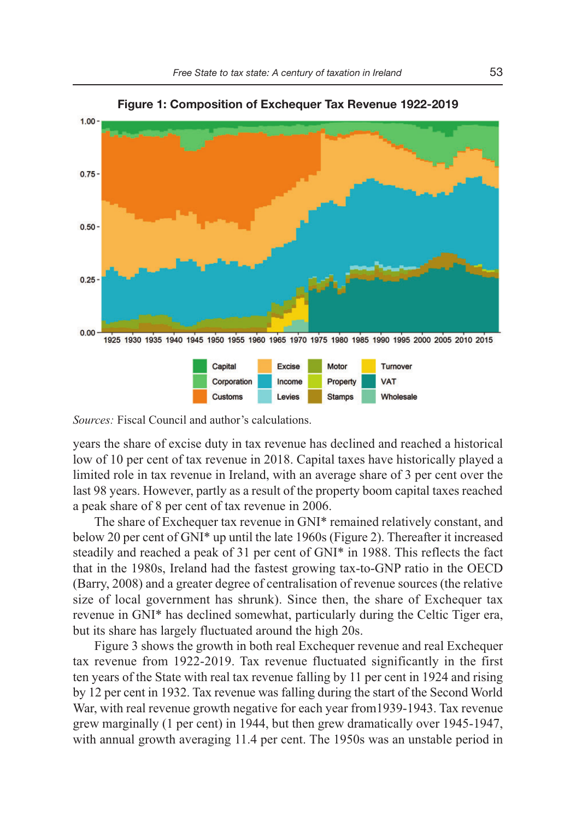





*Sources:* Fiscal Council and author's calculations.

years the share of excise duty in tax revenue has declined and reached a historical low of 10 per cent of tax revenue in 2018. Capital taxes have historically played a limited role in tax revenue in Ireland, with an average share of 3 per cent over the last 98 years. However, partly as a result of the property boom capital taxes reached a peak share of 8 per cent of tax revenue in 2006.

The share of Exchequer tax revenue in GNI\* remained relatively constant, and below 20 per cent of GNI\* up until the late 1960s (Figure 2). Thereafter it increased steadily and reached a peak of 31 per cent of GNI\* in 1988. This reflects the fact that in the 1980s, Ireland had the fastest growing tax-to-GNP ratio in the OECD (Barry, 2008) and a greater degree of centralisation of revenue sources (the relative size of local government has shrunk). Since then, the share of Exchequer tax revenue in GNI\* has declined somewhat, particularly during the Celtic Tiger era, but its share has largely fluctuated around the high 20s.

Figure 3 shows the growth in both real Exchequer revenue and real Exchequer tax revenue from 1922-2019. Tax revenue fluctuated significantly in the first ten years of the State with real tax revenue falling by 11 per cent in 1924 and rising by 12 per cent in 1932. Tax revenue was falling during the start of the Second World War, with real revenue growth negative for each year from1939-1943. Tax revenue grew marginally (1 per cent) in 1944, but then grew dramatically over 1945-1947, with annual growth averaging 11.4 per cent. The 1950s was an unstable period in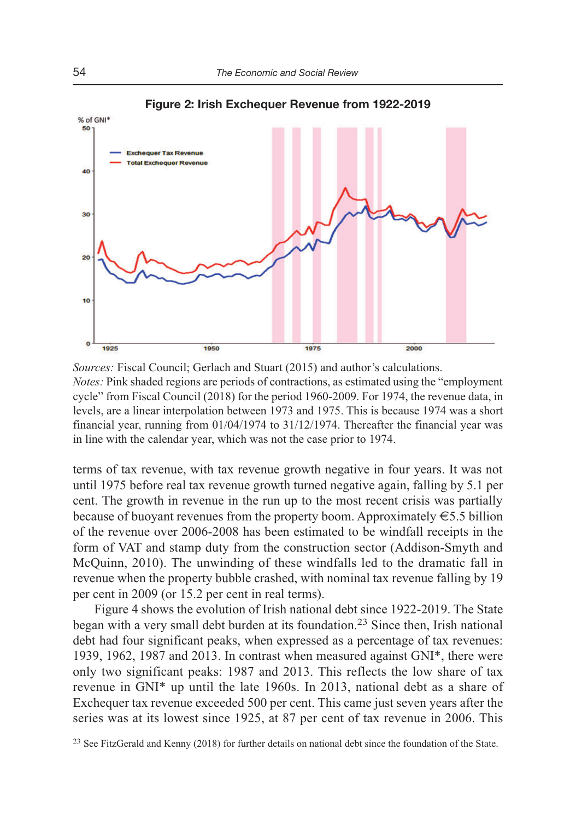**Figure 2: Irish Exchequer Revenue from 1922-2019** 



*Sources:* Fiscal Council; Gerlach and Stuart (2015) and author's calculations. *Notes:* Pink shaded regions are periods of contractions, as estimated using the "employment cycle" from Fiscal Council (2018) for the period 1960-2009. For 1974, the revenue data, in levels, are a linear interpolation between 1973 and 1975. This is because 1974 was a short financial year, running from 01/04/1974 to 31/12/1974. Thereafter the financial year was in line with the calendar year, which was not the case prior to 1974.

terms of tax revenue, with tax revenue growth negative in four years. It was not until 1975 before real tax revenue growth turned negative again, falling by 5.1 per cent. The growth in revenue in the run up to the most recent crisis was partially because of buoyant revenues from the property boom. Approximately  $\epsilon$ 5.5 billion of the revenue over 2006-2008 has been estimated to be windfall receipts in the form of VAT and stamp duty from the construction sector (Addison-Smyth and McQuinn, 2010). The unwinding of these windfalls led to the dramatic fall in revenue when the property bubble crashed, with nominal tax revenue falling by 19 per cent in 2009 (or 15.2 per cent in real terms).

Figure 4 shows the evolution of Irish national debt since 1922-2019. The State began with a very small debt burden at its foundation.23 Since then, Irish national debt had four significant peaks, when expressed as a percentage of tax revenues: 1939, 1962, 1987 and 2013. In contrast when measured against GNI\*, there were only two significant peaks: 1987 and 2013. This reflects the low share of tax revenue in GNI\* up until the late 1960s. In 2013, national debt as a share of Exchequer tax revenue exceeded 500 per cent. This came just seven years after the series was at its lowest since 1925, at 87 per cent of tax revenue in 2006. This

<sup>&</sup>lt;sup>23</sup> See FitzGerald and Kenny (2018) for further details on national debt since the foundation of the State.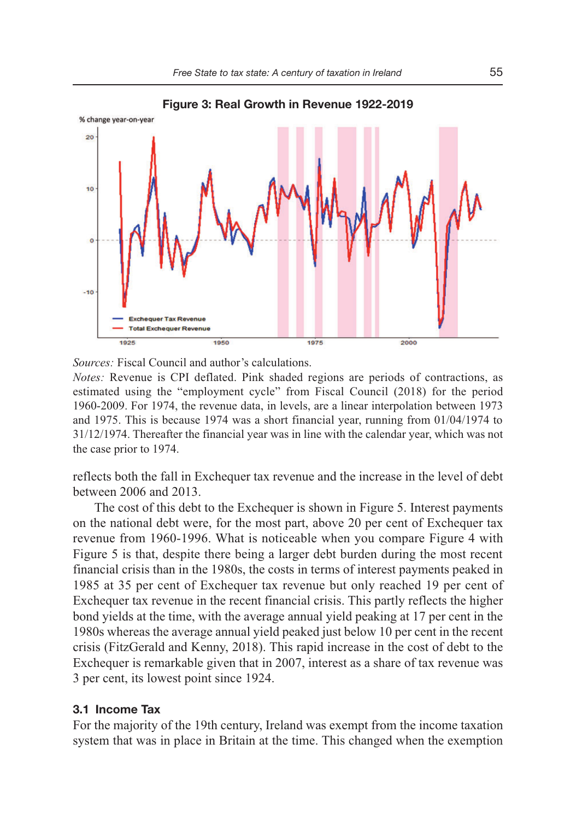

*Sources:* Fiscal Council and author's calculations.

*Notes:* Revenue is CPI deflated. Pink shaded regions are periods of contractions, as estimated using the "employment cycle" from Fiscal Council (2018) for the period 1960-2009. For 1974, the revenue data, in levels, are a linear interpolation between 1973 and 1975. This is because 1974 was a short financial year, running from 01/04/1974 to 31/12/1974. Thereafter the financial year was in line with the calendar year, which was not the case prior to 1974.

reflects both the fall in Exchequer tax revenue and the increase in the level of debt between 2006 and 2013.

The cost of this debt to the Exchequer is shown in Figure 5. Interest payments on the national debt were, for the most part, above 20 per cent of Exchequer tax revenue from 1960-1996. What is noticeable when you compare Figure 4 with Figure 5 is that, despite there being a larger debt burden during the most recent financial crisis than in the 1980s, the costs in terms of interest payments peaked in 1985 at 35 per cent of Exchequer tax revenue but only reached 19 per cent of Exchequer tax revenue in the recent financial crisis. This partly reflects the higher bond yields at the time, with the average annual yield peaking at 17 per cent in the 1980s whereas the average annual yield peaked just below 10 per cent in the recent crisis (FitzGerald and Kenny, 2018). This rapid increase in the cost of debt to the Exchequer is remarkable given that in 2007, interest as a share of tax revenue was 3 per cent, its lowest point since 1924.

## **3.1 Income Tax**

For the majority of the 19th century, Ireland was exempt from the income taxation system that was in place in Britain at the time. This changed when the exemption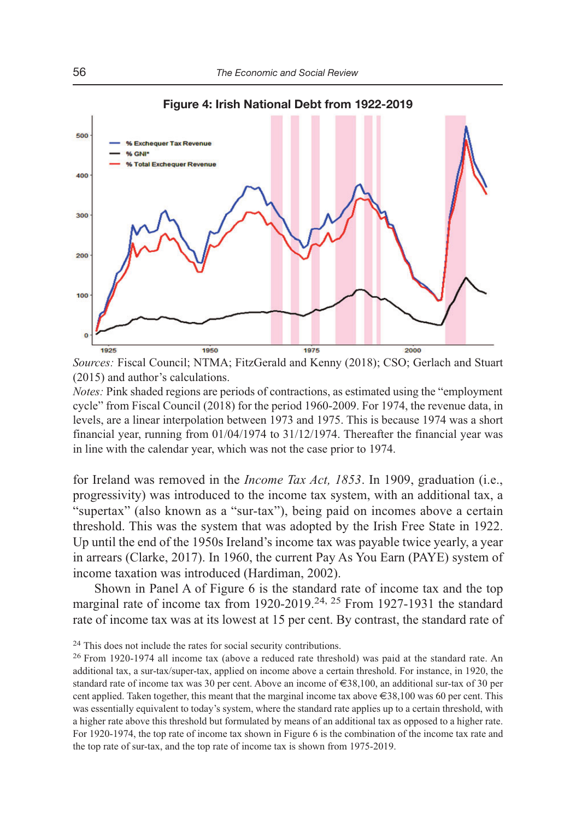

*Sources:* Fiscal Council; NTMA; FitzGerald and Kenny (2018); CSO; Gerlach and Stuart (2015) and author's calculations.

*Notes:* Pink shaded regions are periods of contractions, as estimated using the "employment cycle" from Fiscal Council (2018) for the period 1960-2009. For 1974, the revenue data, in levels, are a linear interpolation between 1973 and 1975. This is because 1974 was a short financial year, running from 01/04/1974 to 31/12/1974. Thereafter the financial year was in line with the calendar year, which was not the case prior to 1974.

for Ireland was removed in the *Income Tax Act, 1853*. In 1909, graduation (i.e., progressivity) was introduced to the income tax system, with an additional tax, a "supertax" (also known as a "sur-tax"), being paid on incomes above a certain threshold. This was the system that was adopted by the Irish Free State in 1922. Up until the end of the 1950s Ireland's income tax was payable twice yearly, a year in arrears (Clarke, 2017). In 1960, the current Pay As You Earn (PAYE) system of income taxation was introduced (Hardiman, 2002).

Shown in Panel A of Figure 6 is the standard rate of income tax and the top marginal rate of income tax from  $1920-2019$ <sup>24, 25</sup> From  $1927-1931$  the standard rate of income tax was at its lowest at 15 per cent. By contrast, the standard rate of

<sup>&</sup>lt;sup>24</sup> This does not include the rates for social security contributions.

<sup>&</sup>lt;sup>26</sup> From 1920-1974 all income tax (above a reduced rate threshold) was paid at the standard rate. An additional tax, a sur-tax/super-tax, applied on income above a certain threshold. For instance, in 1920, the standard rate of income tax was 30 per cent. Above an income of €38,100, an additional sur-tax of 30 per cent applied. Taken together, this meant that the marginal income tax above  $\epsilon$  38,100 was 60 per cent. This was essentially equivalent to today's system, where the standard rate applies up to a certain threshold, with a higher rate above this threshold but formulated by means of an additional tax as opposed to a higher rate. For 1920-1974, the top rate of income tax shown in Figure 6 is the combination of the income tax rate and the top rate of sur-tax, and the top rate of income tax is shown from 1975-2019.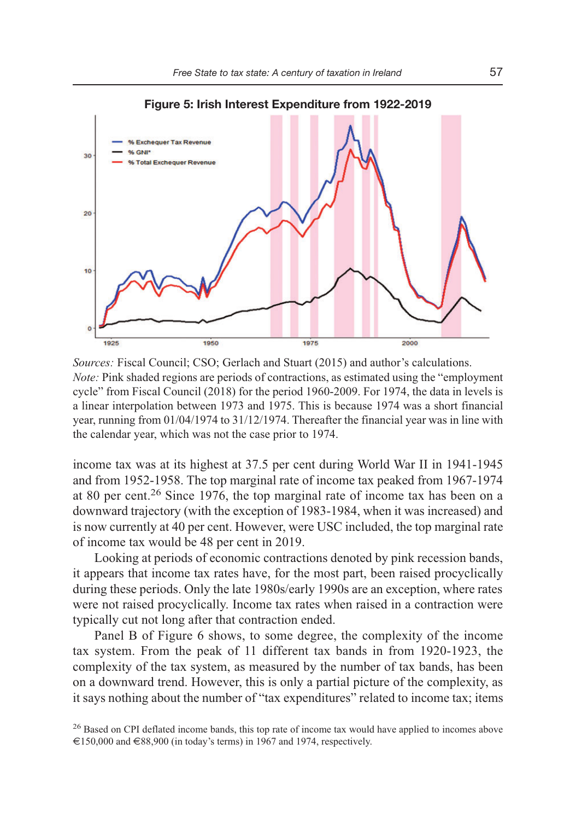

*Sources:* Fiscal Council; CSO; Gerlach and Stuart (2015) and author's calculations. *Note:* Pink shaded regions are periods of contractions, as estimated using the "employment cycle" from Fiscal Council (2018) for the period 1960-2009. For 1974, the data in levels is a linear interpolation between 1973 and 1975. This is because 1974 was a short financial year, running from 01/04/1974 to 31/12/1974. Thereafter the financial year was in line with the calendar year, which was not the case prior to 1974.

income tax was at its highest at 37.5 per cent during World War II in 1941-1945 and from 1952-1958. The top marginal rate of income tax peaked from 1967-1974 at 80 per cent.26 Since 1976, the top marginal rate of income tax has been on a downward trajectory (with the exception of 1983-1984, when it was increased) and is now currently at 40 per cent. However, were USC included, the top marginal rate of income tax would be 48 per cent in 2019.

Looking at periods of economic contractions denoted by pink recession bands, it appears that income tax rates have, for the most part, been raised procyclically during these periods. Only the late 1980s/early 1990s are an exception, where rates were not raised procyclically. Income tax rates when raised in a contraction were typically cut not long after that contraction ended.

Panel B of Figure 6 shows, to some degree, the complexity of the income tax system. From the peak of 11 different tax bands in from 1920-1923, the complexity of the tax system, as measured by the number of tax bands, has been on a downward trend. However, this is only a partial picture of the complexity, as it says nothing about the number of "tax expenditures" related to income tax; items

<sup>&</sup>lt;sup>26</sup> Based on CPI deflated income bands, this top rate of income tax would have applied to incomes above €150,000 and €88,900 (in today's terms) in 1967 and 1974, respectively.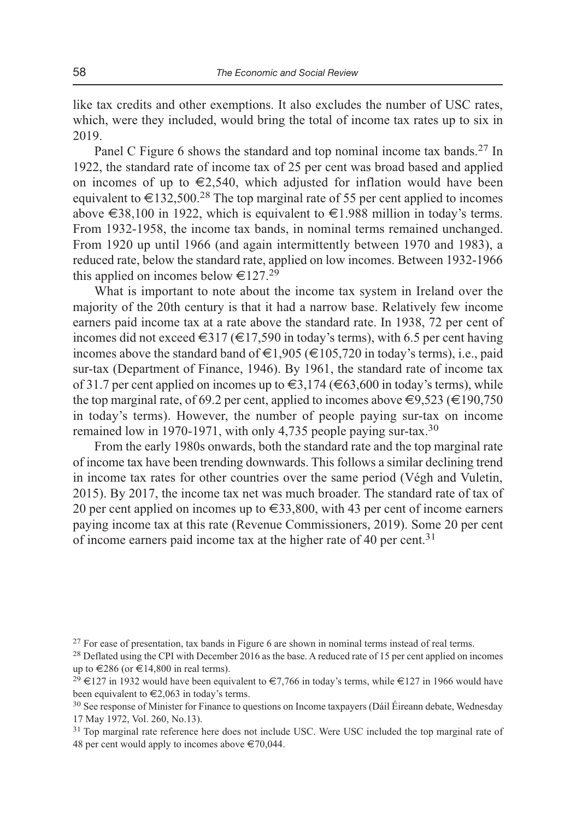like tax credits and other exemptions. It also excludes the number of USC rates, which, were they included, would bring the total of income tax rates up to six in 2019.

Panel C Figure 6 shows the standard and top nominal income tax bands.<sup>27</sup> In 1922, the standard rate of income tax of 25 per cent was broad based and applied on incomes of up to  $\epsilon$ 2,540, which adjusted for inflation would have been equivalent to  $\epsilon$ 132,500.<sup>28</sup> The top marginal rate of 55 per cent applied to incomes above €38,100 in 1922, which is equivalent to €1.988 million in today's terms. From 1932-1958, the income tax bands, in nominal terms remained unchanged. From 1920 up until 1966 (and again intermittently between 1970 and 1983), a reduced rate, below the standard rate, applied on low incomes. Between 1932-1966 this applied on incomes below  $\epsilon 127.29$ 

What is important to note about the income tax system in Ireland over the majority of the 20th century is that it had a narrow base. Relatively few income earners paid income tax at a rate above the standard rate. In 1938, 72 per cent of incomes did not exceed  $\epsilon$  317 ( $\epsilon$ 17,590 in today's terms), with 6.5 per cent having incomes above the standard band of  $\epsilon$ 1,905 ( $\epsilon$ 105,720 in today's terms), i.e., paid sur-tax (Department of Finance, 1946). By 1961, the standard rate of income tax of 31.7 per cent applied on incomes up to  $\epsilon$ 3,174 ( $\epsilon$ 63,600 in today's terms), while the top marginal rate, of 69.2 per cent, applied to incomes above  $\epsilon$ 9.523 ( $\epsilon$ 190,750 in today's terms). However, the number of people paying sur-tax on income remained low in 1970-1971, with only 4,735 people paying sur-tax.<sup>30</sup>

From the early 1980s onwards, both the standard rate and the top marginal rate of income tax have been trending downwards. This follows a similar declining trend in income tax rates for other countries over the same period (Végh and Vuletin, 2015). By 2017, the income tax net was much broader. The standard rate of tax of 20 per cent applied on incomes up to  $\in$ 33,800, with 43 per cent of income earners paying income tax at this rate (Revenue Commissioners, 2019). Some 20 per cent of income earners paid income tax at the higher rate of 40 per cent.<sup>31</sup>

<sup>&</sup>lt;sup>27</sup> For ease of presentation, tax bands in Figure 6 are shown in nominal terms instead of real terms.

<sup>&</sup>lt;sup>28</sup> Deflated using the CPI with December 2016 as the base. A reduced rate of 15 per cent applied on incomes up to €286 (or €14,800 in real terms).<br><sup>29</sup> €127 in 1932 would have been equivalent to €7,766 in today's terms, while €127 in 1966 would have

been equivalent to €2,063 in today's terms.<br><sup>30</sup> See response of Minister for Finance to questions on Income taxpayers (Dáil Éireann debate, Wednesday

<sup>17</sup> May 1972, Vol. 260, No.13).

<sup>&</sup>lt;sup>31</sup> Top marginal rate reference here does not include USC. Were USC included the top marginal rate of 48 per cent would apply to incomes above  $\epsilon$  70,044.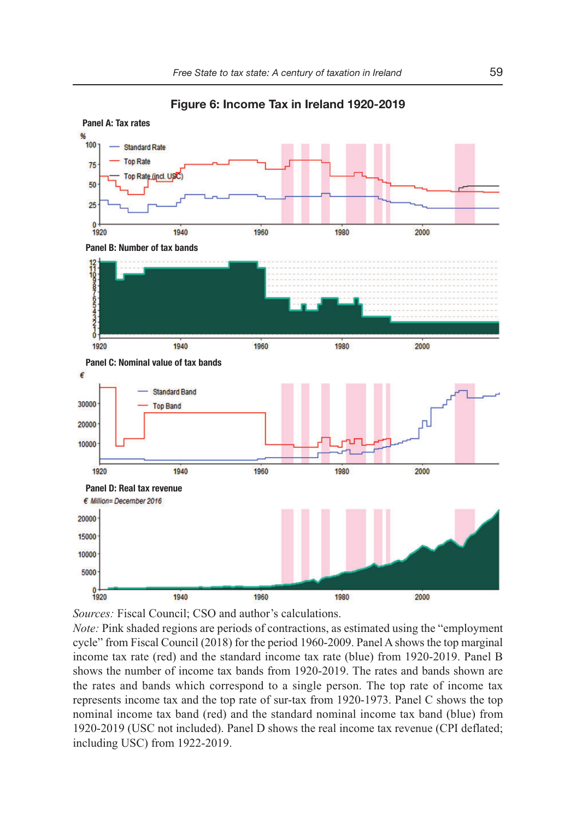**Panel A: Tax rates** 100 **Standard Rate Top Rate** 75 Top Rate (incl. US 50 25  $\theta$ 1920 1940 1960 1980 2000 **Panel B: Number of tax bands**  $\frac{1}{2}$ **CONTO** 1940 1960 2000 1920 1980 **Panel C: Nominal value of tax bands** É **Standard Band** 30000 **Top Band** 20000 10000 1920 1940 1960 1980 2000 **Panel D: Real tax revenue**€ Million= December 2016 20000 15000 10000 5000  $0 + 1920$ 1940 1960 1980 2000

**Figure 6: Income Tax in Ireland 1920-2019** 

*Sources:* Fiscal Council; CSO and author's calculations.

*Note:* Pink shaded regions are periods of contractions, as estimated using the "employment cycle" from Fiscal Council (2018) for the period 1960-2009. Panel A shows the top marginal income tax rate (red) and the standard income tax rate (blue) from 1920-2019. Panel B shows the number of income tax bands from 1920-2019. The rates and bands shown are the rates and bands which correspond to a single person. The top rate of income tax represents income tax and the top rate of sur-tax from 1920-1973. Panel C shows the top nominal income tax band (red) and the standard nominal income tax band (blue) from 1920-2019 (USC not included). Panel D shows the real income tax revenue (CPI deflated; including USC) from 1922-2019.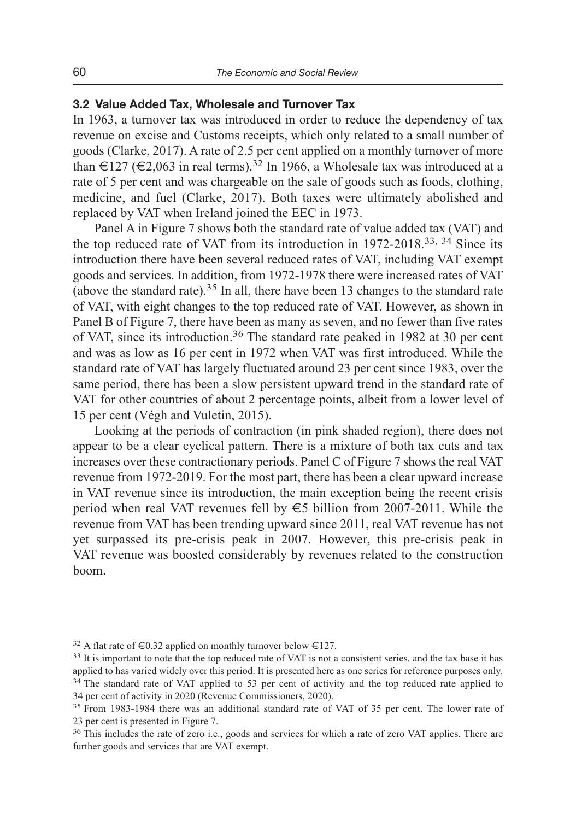## **3.2 Value Added Tax, Wholesale and Turnover Tax**

In 1963, a turnover tax was introduced in order to reduce the dependency of tax revenue on excise and Customs receipts, which only related to a small number of goods (Clarke, 2017). A rate of 2.5 per cent applied on a monthly turnover of more than  $\in$ 127 ( $\in$ 2,063 in real terms).<sup>32</sup> In 1966, a Wholesale tax was introduced at a rate of 5 per cent and was chargeable on the sale of goods such as foods, clothing, medicine, and fuel (Clarke, 2017). Both taxes were ultimately abolished and replaced by VAT when Ireland joined the EEC in 1973.

Panel A in Figure 7 shows both the standard rate of value added tax (VAT) and the top reduced rate of VAT from its introduction in 1972-2018.33, 34 Since its introduction there have been several reduced rates of VAT, including VAT exempt goods and services. In addition, from 1972-1978 there were increased rates of VAT (above the standard rate).35 In all, there have been 13 changes to the standard rate of VAT, with eight changes to the top reduced rate of VAT. However, as shown in Panel B of Figure 7, there have been as many as seven, and no fewer than five rates of VAT, since its introduction.36 The standard rate peaked in 1982 at 30 per cent and was as low as 16 per cent in 1972 when VAT was first introduced. While the standard rate of VAT has largely fluctuated around 23 per cent since 1983, over the same period, there has been a slow persistent upward trend in the standard rate of VAT for other countries of about 2 percentage points, albeit from a lower level of 15 per cent (Végh and Vuletin, 2015).

Looking at the periods of contraction (in pink shaded region), there does not appear to be a clear cyclical pattern. There is a mixture of both tax cuts and tax increases over these contractionary periods. Panel C of Figure 7 shows the real VAT revenue from 1972-2019. For the most part, there has been a clear upward increase in VAT revenue since its introduction, the main exception being the recent crisis period when real VAT revenues fell by  $\epsilon$ 5 billion from 2007-2011. While the revenue from VAT has been trending upward since 2011, real VAT revenue has not yet surpassed its pre-crisis peak in 2007. However, this pre-crisis peak in VAT revenue was boosted considerably by revenues related to the construction boom.

<sup>&</sup>lt;sup>32</sup> A flat rate of  $\epsilon$ 0.32 applied on monthly turnover below  $\epsilon$ 127.<br><sup>33</sup> It is important to note that the top reduced rate of VAT is not a consistent series, and the tax base it has applied to has varied widely over this period. It is presented here as one series for reference purposes only. <sup>34</sup> The standard rate of VAT applied to 53 per cent of activity and the top reduced rate applied to 34 per cent of activity in 2020 (Revenue Commissioners, 2020).

<sup>&</sup>lt;sup>35</sup> From 1983-1984 there was an additional standard rate of VAT of 35 per cent. The lower rate of 23 per cent is presented in Figure 7.

<sup>&</sup>lt;sup>36</sup> This includes the rate of zero i.e., goods and services for which a rate of zero VAT applies. There are further goods and services that are VAT exempt.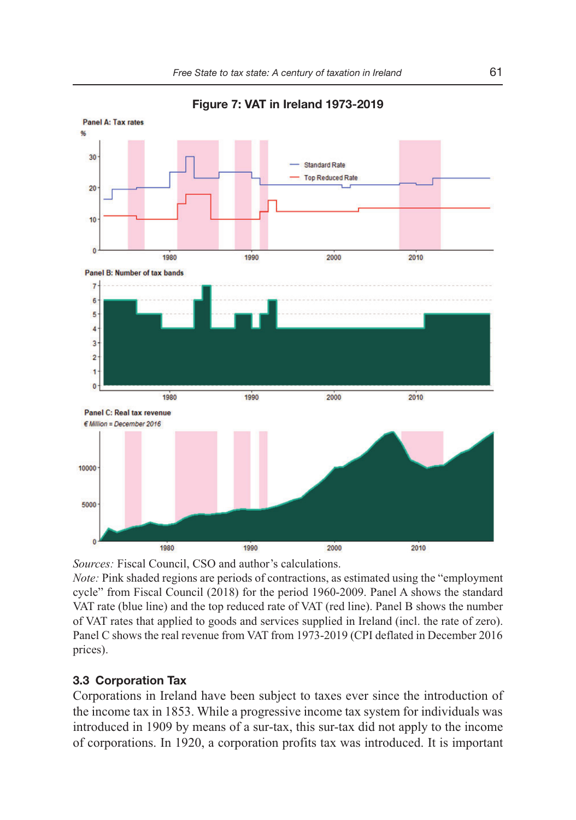

**Figure 7: VAT in Ireland 1973-2019** 

*Sources:* Fiscal Council, CSO and author's calculations.

*Note:* Pink shaded regions are periods of contractions, as estimated using the "employment cycle" from Fiscal Council (2018) for the period 1960-2009. Panel A shows the standard VAT rate (blue line) and the top reduced rate of VAT (red line). Panel B shows the number of VAT rates that applied to goods and services supplied in Ireland (incl. the rate of zero). Panel C shows the real revenue from VAT from 1973-2019 (CPI deflated in December 2016 prices).

## **3.3 Corporation Tax**

Corporations in Ireland have been subject to taxes ever since the introduction of the income tax in 1853. While a progressive income tax system for individuals was introduced in 1909 by means of a sur-tax, this sur-tax did not apply to the income of corporations. In 1920, a corporation profits tax was introduced. It is important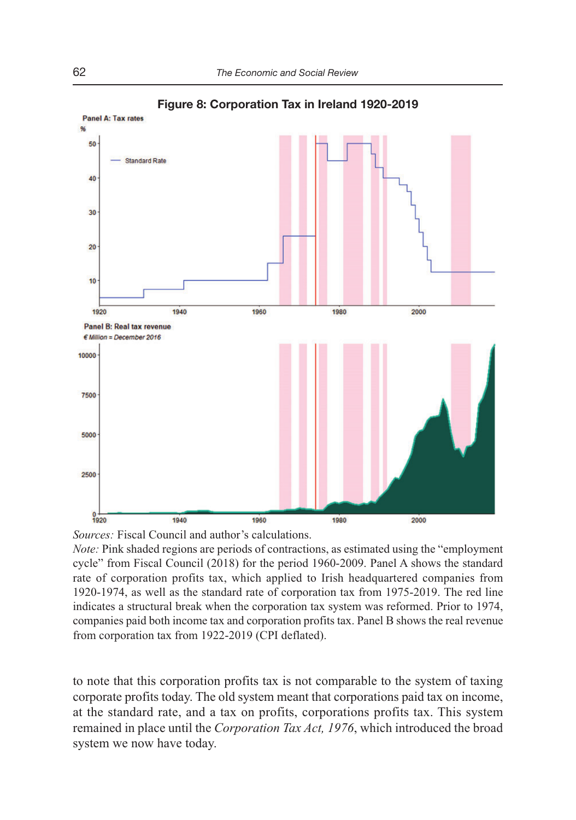

**Figure 8: Corporation Tax in Ireland 1920-2019** 



*Note:* Pink shaded regions are periods of contractions, as estimated using the "employment cycle" from Fiscal Council (2018) for the period 1960-2009. Panel A shows the standard rate of corporation profits tax, which applied to Irish headquartered companies from 1920-1974, as well as the standard rate of corporation tax from 1975-2019. The red line indicates a structural break when the corporation tax system was reformed. Prior to 1974, companies paid both income tax and corporation profits tax. Panel B shows the real revenue from corporation tax from 1922-2019 (CPI deflated).

to note that this corporation profits tax is not comparable to the system of taxing corporate profits today. The old system meant that corporations paid tax on income, at the standard rate, and a tax on profits, corporations profits tax. This system remained in place until the *Corporation Tax Act, 1976*, which introduced the broad system we now have today.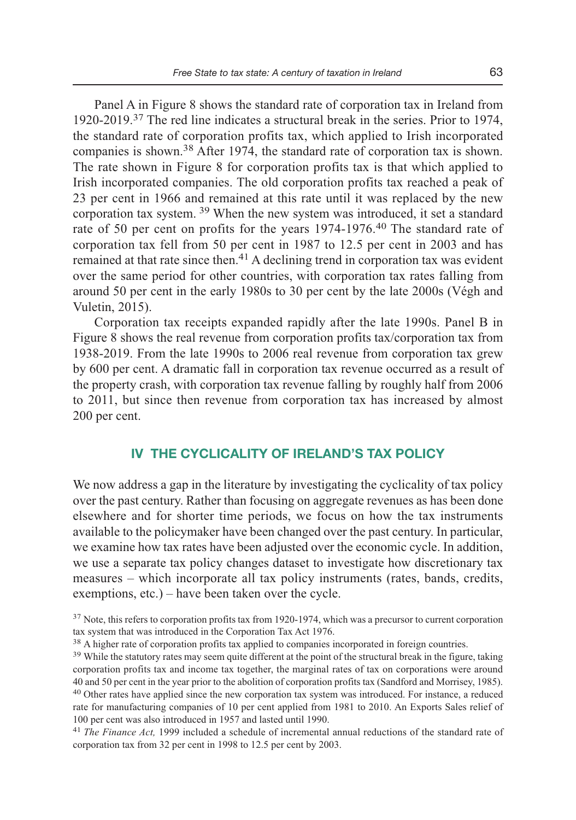Panel A in Figure 8 shows the standard rate of corporation tax in Ireland from 1920-2019.37 The red line indicates a structural break in the series. Prior to 1974, the standard rate of corporation profits tax, which applied to Irish incorporated companies is shown.38 After 1974, the standard rate of corporation tax is shown. The rate shown in Figure 8 for corporation profits tax is that which applied to Irish incorporated companies. The old corporation profits tax reached a peak of 23 per cent in 1966 and remained at this rate until it was replaced by the new corporation tax system. 39 When the new system was introduced, it set a standard rate of 50 per cent on profits for the years 1974-1976.<sup>40</sup> The standard rate of corporation tax fell from 50 per cent in 1987 to 12.5 per cent in 2003 and has remained at that rate since then.<sup>41</sup> A declining trend in corporation tax was evident over the same period for other countries, with corporation tax rates falling from around 50 per cent in the early 1980s to 30 per cent by the late 2000s (Végh and Vuletin, 2015).

Corporation tax receipts expanded rapidly after the late 1990s. Panel B in Figure 8 shows the real revenue from corporation profits tax/corporation tax from 1938-2019. From the late 1990s to 2006 real revenue from corporation tax grew by 600 per cent. A dramatic fall in corporation tax revenue occurred as a result of the property crash, with corporation tax revenue falling by roughly half from 2006 to 2011, but since then revenue from corporation tax has increased by almost 200 per cent.

## **IV THE CYCLICALITY OF IRELAND'S TAX POLICY**

We now address a gap in the literature by investigating the cyclicality of tax policy over the past century. Rather than focusing on aggregate revenues as has been done elsewhere and for shorter time periods, we focus on how the tax instruments available to the policymaker have been changed over the past century. In particular, we examine how tax rates have been adjusted over the economic cycle. In addition, we use a separate tax policy changes dataset to investigate how discretionary tax measures – which incorporate all tax policy instruments (rates, bands, credits, exemptions, etc.) – have been taken over the cycle.

<sup>&</sup>lt;sup>37</sup> Note, this refers to corporation profits tax from 1920-1974, which was a precursor to current corporation tax system that was introduced in the Corporation Tax Act 1976.

<sup>&</sup>lt;sup>38</sup> A higher rate of corporation profits tax applied to companies incorporated in foreign countries.

<sup>&</sup>lt;sup>39</sup> While the statutory rates may seem quite different at the point of the structural break in the figure, taking corporation profits tax and income tax together, the marginal rates of tax on corporations were around 40 and 50 per cent in the year prior to the abolition of corporation profits tax (Sandford and Morrisey, 1985). <sup>40</sup> Other rates have applied since the new corporation tax system was introduced. For instance, a reduced rate for manufacturing companies of 10 per cent applied from 1981 to 2010. An Exports Sales relief of 100 per cent was also introduced in 1957 and lasted until 1990.

<sup>41</sup> *The Finance Act,* 1999 included a schedule of incremental annual reductions of the standard rate of corporation tax from 32 per cent in 1998 to 12.5 per cent by 2003.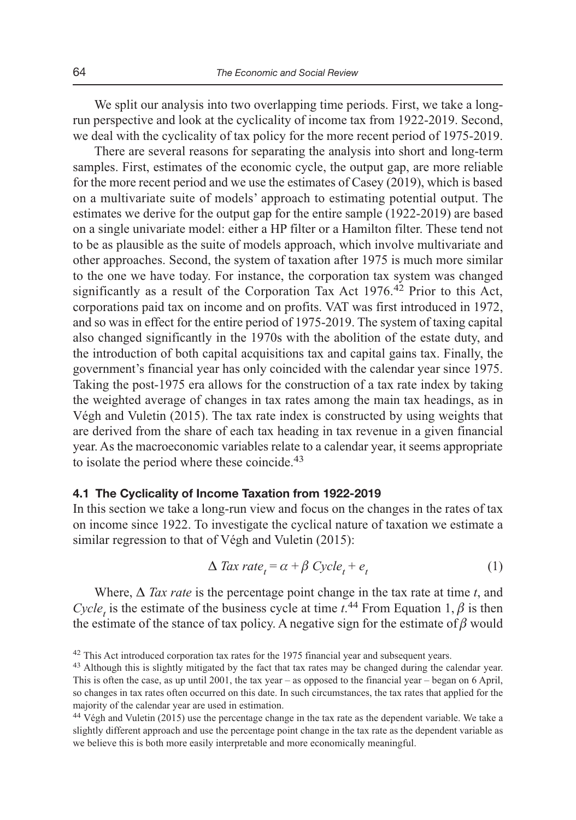We split our analysis into two overlapping time periods. First, we take a longrun perspective and look at the cyclicality of income tax from 1922-2019. Second, we deal with the cyclicality of tax policy for the more recent period of 1975-2019.

There are several reasons for separating the analysis into short and long-term samples. First, estimates of the economic cycle, the output gap, are more reliable for the more recent period and we use the estimates of Casey (2019), which is based on a multivariate suite of models' approach to estimating potential output. The estimates we derive for the output gap for the entire sample (1922-2019) are based on a single univariate model: either a HP filter or a Hamilton filter. These tend not to be as plausible as the suite of models approach, which involve multivariate and other approaches. Second, the system of taxation after 1975 is much more similar to the one we have today. For instance, the corporation tax system was changed significantly as a result of the Corporation Tax Act  $1976<sup>42</sup>$  Prior to this Act, corporations paid tax on income and on profits. VAT was first introduced in 1972, and so was in effect for the entire period of 1975-2019. The system of taxing capital also changed significantly in the 1970s with the abolition of the estate duty, and the introduction of both capital acquisitions tax and capital gains tax. Finally, the government's financial year has only coincided with the calendar year since 1975. Taking the post-1975 era allows for the construction of a tax rate index by taking the weighted average of changes in tax rates among the main tax headings, as in Végh and Vuletin (2015). The tax rate index is constructed by using weights that are derived from the share of each tax heading in tax revenue in a given financial year. As the macroeconomic variables relate to a calendar year, it seems appropriate to isolate the period where these coincide.<sup>43</sup>

#### **4.1 The Cyclicality of Income Taxation from 1922-2019**

In this section we take a long-run view and focus on the changes in the rates of tax on income since 1922. To investigate the cyclical nature of taxation we estimate a similar regression to that of Végh and Vuletin (2015):

$$
\Delta \text{ Tax rate}_{t} = \alpha + \beta \text{ Cycle}_{t} + e_{t} \tag{1}
$$

Where,  $\Delta$  *Tax rate* is the percentage point change in the tax rate at time *t*, and *Cycle<sub>t</sub>* is the estimate of the business cycle at time  $t^{44}$  From Equation 1,  $\beta$  is then the estimate of the stance of tax policy. A negative sign for the estimate of  $\beta$  would

<sup>&</sup>lt;sup>42</sup> This Act introduced corporation tax rates for the 1975 financial year and subsequent years.

<sup>43</sup> Although this is slightly mitigated by the fact that tax rates may be changed during the calendar year. This is often the case, as up until 2001, the tax year – as opposed to the financial year – began on 6 April, so changes in tax rates often occurred on this date. In such circumstances, the tax rates that applied for the majority of the calendar year are used in estimation.

<sup>44</sup>Végh and Vuletin (2015) use the percentage change in the tax rate as the dependent variable. We take a slightly different approach and use the percentage point change in the tax rate as the dependent variable as we believe this is both more easily interpretable and more economically meaningful.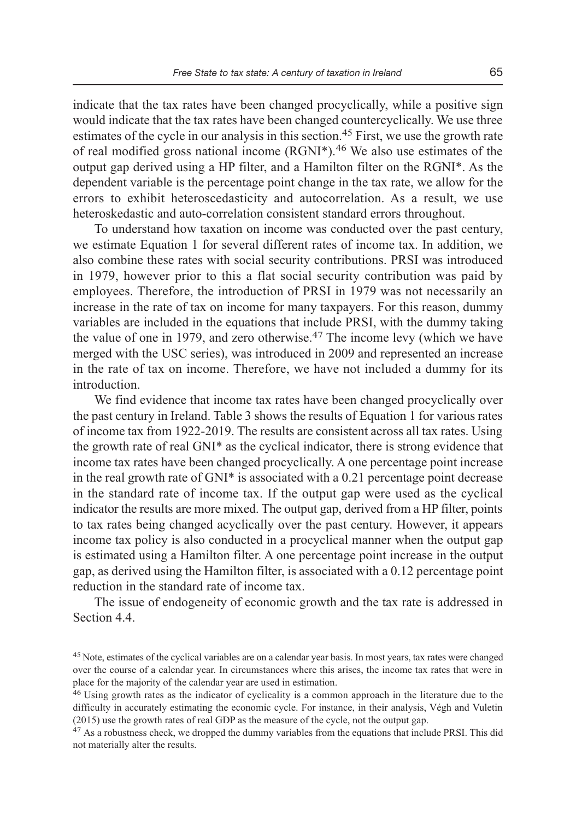indicate that the tax rates have been changed procyclically, while a positive sign would indicate that the tax rates have been changed countercyclically. We use three estimates of the cycle in our analysis in this section.<sup>45</sup> First, we use the growth rate of real modified gross national income  $(RGNI^*)$ .<sup>46</sup> We also use estimates of the output gap derived using a HP filter, and a Hamilton filter on the RGNI\*. As the dependent variable is the percentage point change in the tax rate, we allow for the errors to exhibit heteroscedasticity and autocorrelation. As a result, we use heteroskedastic and auto-correlation consistent standard errors throughout.

To understand how taxation on income was conducted over the past century, we estimate Equation 1 for several different rates of income tax. In addition, we also combine these rates with social security contributions. PRSI was introduced in 1979, however prior to this a flat social security contribution was paid by employees. Therefore, the introduction of PRSI in 1979 was not necessarily an increase in the rate of tax on income for many taxpayers. For this reason, dummy variables are included in the equations that include PRSI, with the dummy taking the value of one in 1979, and zero otherwise. $47$  The income levy (which we have merged with the USC series), was introduced in 2009 and represented an increase in the rate of tax on income. Therefore, we have not included a dummy for its introduction.

We find evidence that income tax rates have been changed procyclically over the past century in Ireland. Table 3 shows the results of Equation 1 for various rates of income tax from 1922-2019. The results are consistent across all tax rates. Using the growth rate of real GNI\* as the cyclical indicator, there is strong evidence that income tax rates have been changed procyclically. A one percentage point increase in the real growth rate of GNI\* is associated with a 0.21 percentage point decrease in the standard rate of income tax. If the output gap were used as the cyclical indicator the results are more mixed. The output gap, derived from a HP filter, points to tax rates being changed acyclically over the past century. However, it appears income tax policy is also conducted in a procyclical manner when the output gap is estimated using a Hamilton filter. A one percentage point increase in the output gap, as derived using the Hamilton filter, is associated with a 0.12 percentage point reduction in the standard rate of income tax.

The issue of endogeneity of economic growth and the tax rate is addressed in Section 4.4.

<sup>45</sup> Note, estimates of the cyclical variables are on a calendar year basis. In most years, tax rates were changed over the course of a calendar year. In circumstances where this arises, the income tax rates that were in place for the majority of the calendar year are used in estimation.

<sup>&</sup>lt;sup>46</sup> Using growth rates as the indicator of cyclicality is a common approach in the literature due to the difficulty in accurately estimating the economic cycle. For instance, in their analysis, Végh and Vuletin (2015) use the growth rates of real GDP as the measure of the cycle, not the output gap.

<sup>&</sup>lt;sup>47</sup> As a robustness check, we dropped the dummy variables from the equations that include PRSI. This did not materially alter the results.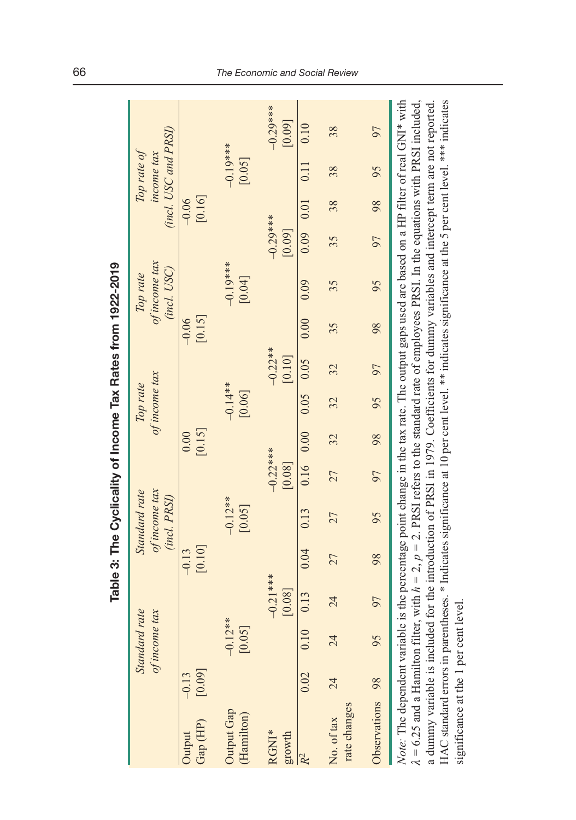|                                                                                                                                                                                                                                                                                                                                                                                                                                                                                                                                                                                                              |         |               |            |          | Table 3: The Cyclicality of Income Tax Rates from 1922-2019 |            |             |               |            |         |                              |            |               |                                    |               |
|--------------------------------------------------------------------------------------------------------------------------------------------------------------------------------------------------------------------------------------------------------------------------------------------------------------------------------------------------------------------------------------------------------------------------------------------------------------------------------------------------------------------------------------------------------------------------------------------------------------|---------|---------------|------------|----------|-------------------------------------------------------------|------------|-------------|---------------|------------|---------|------------------------------|------------|---------------|------------------------------------|---------------|
|                                                                                                                                                                                                                                                                                                                                                                                                                                                                                                                                                                                                              |         | Standard rate |            |          | Standard rate                                               |            |             | Top rate      |            |         | Top rate                     |            |               | Top rate of                        |               |
|                                                                                                                                                                                                                                                                                                                                                                                                                                                                                                                                                                                                              |         | of income tax |            |          | of income tax<br>(incl. PRSI)                               |            |             | of income tax |            |         | of income tax<br>(incl. USC) |            |               | (incl. USC and PRSI)<br>income tax |               |
| Output                                                                                                                                                                                                                                                                                                                                                                                                                                                                                                                                                                                                       | $-0.13$ |               |            | $-0.13$  |                                                             |            | 0.00        |               |            | $-0.06$ |                              |            | $-0.06$       |                                    |               |
| Gap (HP)                                                                                                                                                                                                                                                                                                                                                                                                                                                                                                                                                                                                     | [0.09]  |               |            | $[0.10]$ |                                                             |            | [0.15]      |               |            | [0.15]  |                              |            | [0.16]        |                                    |               |
| Output Gap                                                                                                                                                                                                                                                                                                                                                                                                                                                                                                                                                                                                   |         | $-0.12**$     |            |          | $-0.12***$                                                  |            |             | $-0.14**$     |            |         | $-0.19***$                   |            |               | $-0.19***$                         |               |
| (Hamilton)                                                                                                                                                                                                                                                                                                                                                                                                                                                                                                                                                                                                   |         | [0.05]        |            |          | [0.05]                                                      |            |             | [0.06]        |            |         | [0.04]                       |            |               | [0.05]                             |               |
| RGNI*                                                                                                                                                                                                                                                                                                                                                                                                                                                                                                                                                                                                        |         |               | $-0.21***$ |          |                                                             | $-0.22***$ |             |               | $-0.22***$ |         |                              | $-0.29***$ |               |                                    | $-0.29***$ ** |
| growth                                                                                                                                                                                                                                                                                                                                                                                                                                                                                                                                                                                                       |         |               | [0.08]     |          |                                                             | [0.08]     |             |               | [0.10]     |         |                              | [0.09]     |               |                                    | [0.09]        |
| R <sup>2</sup>                                                                                                                                                                                                                                                                                                                                                                                                                                                                                                                                                                                               | 0.02    | 0.10          | 0.13       | 0.04     | 0.13                                                        |            | $0.16$ 0.00 | $0.05$ 0.05   |            | 0.00    | 0.09                         |            | $0.09$ $0.01$ | 0.11                               | 0.10          |
| No. of tax                                                                                                                                                                                                                                                                                                                                                                                                                                                                                                                                                                                                   | 24      | 24            | 24         | 27       | 27                                                          | 27         | 32          | 32            | 32         | 35      | 35                           | 35         | 38            | 38                                 | 38            |
| rate changes                                                                                                                                                                                                                                                                                                                                                                                                                                                                                                                                                                                                 |         |               |            |          |                                                             |            |             |               |            |         |                              |            |               |                                    |               |
| Observations 98                                                                                                                                                                                                                                                                                                                                                                                                                                                                                                                                                                                              |         | 95            | 97         | 98       | 95                                                          | 97         | 98          | 95            | 97         | 98      | 95                           | 97         | 98            | 95                                 | 97            |
| a dummy variable is included for the introduction of PRSI in 1979. Coefficients for dummy variables and intercept term are not reported.<br>Note: The dependent variable is the percentage point change in the tax rate. The output gaps used are based on a HP filter of real GNI* with<br>HAC standard errors in parentheses. * Indicates significance at 10 per cent level. ** indicates significance at the 5 per cent level. *** indicates<br>$\lambda = 6.25$ and a Hamilton filter, with $h = 2$ , $p = 2$ . PRSI refers to the standard rate of employees PRSI. In the equations with PRSI included, |         |               |            |          |                                                             |            |             |               |            |         |                              |            |               |                                    |               |

significance at the 1 per cent level.

significance at the 1 per cent level.

#### 66 The Economic and Social Review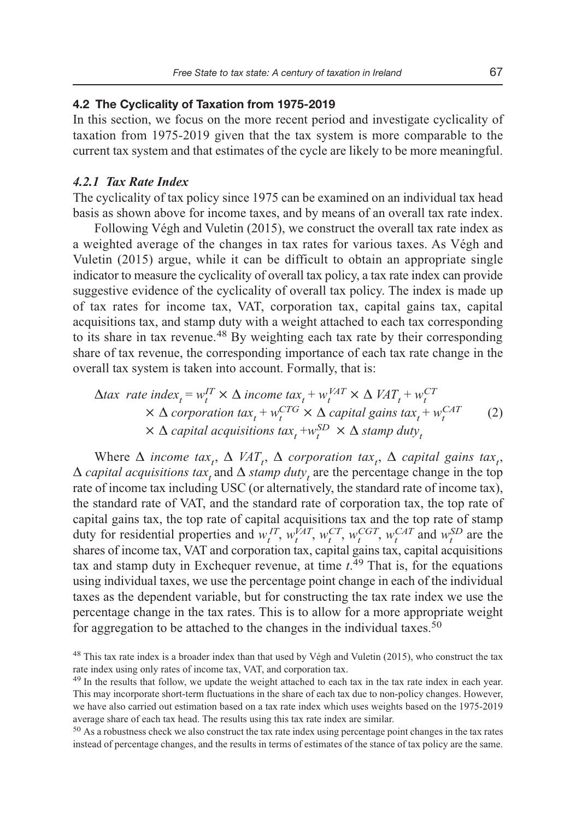## **4.2 The Cyclicality of Taxation from 1975-2019**

In this section, we focus on the more recent period and investigate cyclicality of taxation from 1975-2019 given that the tax system is more comparable to the current tax system and that estimates of the cycle are likely to be more meaningful.

#### *4.2.1 Tax Rate Index*

The cyclicality of tax policy since 1975 can be examined on an individual tax head basis as shown above for income taxes, and by means of an overall tax rate index.

Following Végh and Vuletin (2015), we construct the overall tax rate index as a weighted average of the changes in tax rates for various taxes. As Végh and Vuletin (2015) argue, while it can be difficult to obtain an appropriate single indicator to measure the cyclicality of overall tax policy, a tax rate index can provide suggestive evidence of the cyclicality of overall tax policy. The index is made up of tax rates for income tax, VAT, corporation tax, capital gains tax, capital acquisitions tax, and stamp duty with a weight attached to each tax corresponding to its share in tax revenue.<sup>48</sup> By weighting each tax rate by their corresponding share of tax revenue, the corresponding importance of each tax rate change in the overall tax system is taken into account. Formally, that is:

$$
\Delta tax \ rate \ index_{t} = w_{t}^{IT} \times \Delta \ income \ tax_{t} + w_{t}^{VAT} \times \Delta \text{ } VAT_{t} + w_{t}^{CT} \times \Delta \text{ } corporation \ tax_{t} + w_{t}^{CTG} \times \Delta \text{ } capital \ gains \ tax_{t} + w_{t}^{CAT} \tag{2}
$$
\n
$$
\times \Delta \text{ } capital \ acquisition \ star_{t} + w_{t}^{SD} \times \Delta \text{ } stamp \ duty_{t} \tag{2}
$$

Where  $\Delta$  *income tax<sub>t</sub>*,  $\Delta$  *VAT<sub>t</sub>*,  $\Delta$  *corporation tax<sub>t</sub>*,  $\Delta$  *capital gains tax<sub>t</sub>*,  $\Delta$  *capital acquisitions tax<sub>t</sub>* and  $\Delta$  *stamp duty<sub>t</sub>* are the percentage change in the top rate of income tax including USC (or alternatively, the standard rate of income tax), the standard rate of VAT, and the standard rate of corporation tax, the top rate of capital gains tax, the top rate of capital acquisitions tax and the top rate of stamp duty for residential properties and  $w_t^{IT}$ ,  $w_t^{VAT}$ ,  $w_t^{CT}$ ,  $w_t^{CGT}$ ,  $w_t^{CAT}$  and  $w_t^{SD}$  are the shares of income tax, VAT and corporation tax, capital gains tax, capital acquisitions tax and stamp duty in Exchequer revenue, at time *t*. 49 That is, for the equations using individual taxes, we use the percentage point change in each of the individual taxes as the dependent variable, but for constructing the tax rate index we use the percentage change in the tax rates. This is to allow for a more appropriate weight for aggregation to be attached to the changes in the individual taxes.<sup>50</sup>

<sup>&</sup>lt;sup>48</sup> This tax rate index is a broader index than that used by Végh and Vuletin (2015), who construct the tax rate index using only rates of income tax, VAT, and corporation tax.

<sup>&</sup>lt;sup>49</sup> In the results that follow, we update the weight attached to each tax in the tax rate index in each year. This may incorporate short-term fluctuations in the share of each tax due to non-policy changes. However, we have also carried out estimation based on a tax rate index which uses weights based on the 1975-2019 average share of each tax head. The results using this tax rate index are similar.

<sup>&</sup>lt;sup>50</sup> As a robustness check we also construct the tax rate index using percentage point changes in the tax rates instead of percentage changes, and the results in terms of estimates of the stance of tax policy are the same.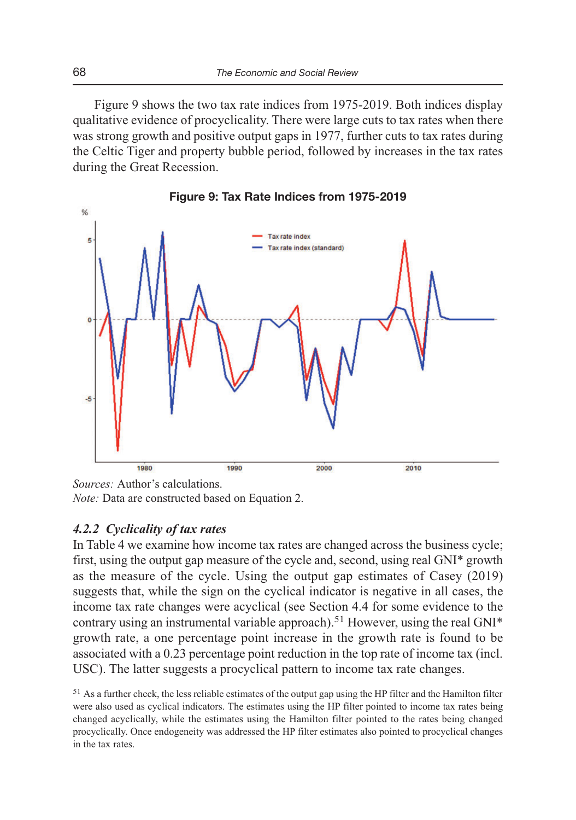Figure 9 shows the two tax rate indices from 1975-2019. Both indices display qualitative evidence of procyclicality. There were large cuts to tax rates when there was strong growth and positive output gaps in 1977, further cuts to tax rates during the Celtic Tiger and property bubble period, followed by increases in the tax rates during the Great Recession.



**Figure 9: Tax Rate Indices from 1975-2019** 

*Sources:* Author's calculations. *Note:* Data are constructed based on Equation 2.

## *4.2.2 Cyclicality of tax rates*

In Table 4 we examine how income tax rates are changed across the business cycle; first, using the output gap measure of the cycle and, second, using real GNI\* growth as the measure of the cycle. Using the output gap estimates of Casey (2019) suggests that, while the sign on the cyclical indicator is negative in all cases, the income tax rate changes were acyclical (see Section 4.4 for some evidence to the contrary using an instrumental variable approach).<sup>51</sup> However, using the real  $GNI^*$ growth rate, a one percentage point increase in the growth rate is found to be associated with a 0.23 percentage point reduction in the top rate of income tax (incl. USC). The latter suggests a procyclical pattern to income tax rate changes.

 $51$  As a further check, the less reliable estimates of the output gap using the HP filter and the Hamilton filter were also used as cyclical indicators. The estimates using the HP filter pointed to income tax rates being changed acyclically, while the estimates using the Hamilton filter pointed to the rates being changed procyclically. Once endogeneity was addressed the HP filter estimates also pointed to procyclical changes in the tax rates.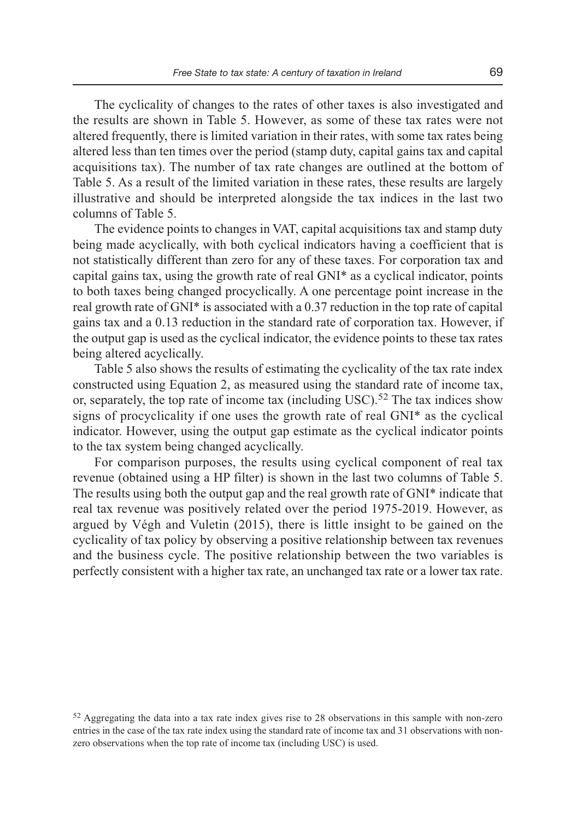The cyclicality of changes to the rates of other taxes is also investigated and the results are shown in Table 5. However, as some of these tax rates were not altered frequently, there is limited variation in their rates, with some tax rates being altered less than ten times over the period (stamp duty, capital gains tax and capital acquisitions tax). The number of tax rate changes are outlined at the bottom of Table 5. As a result of the limited variation in these rates, these results are largely illustrative and should be interpreted alongside the tax indices in the last two columns of Table 5.

The evidence points to changes in VAT, capital acquisitions tax and stamp duty being made acyclically, with both cyclical indicators having a coefficient that is not statistically different than zero for any of these taxes. For corporation tax and capital gains tax, using the growth rate of real GNI\* as a cyclical indicator, points to both taxes being changed procyclically. A one percentage point increase in the real growth rate of GNI\* is associated with a 0.37 reduction in the top rate of capital gains tax and a 0.13 reduction in the standard rate of corporation tax. However, if the output gap is used as the cyclical indicator, the evidence points to these tax rates being altered acyclically.

Table 5 also shows the results of estimating the cyclicality of the tax rate index constructed using Equation 2, as measured using the standard rate of income tax, or, separately, the top rate of income tax (including USC).<sup>52</sup> The tax indices show signs of procyclicality if one uses the growth rate of real GNI\* as the cyclical indicator. However, using the output gap estimate as the cyclical indicator points to the tax system being changed acyclically.

For comparison purposes, the results using cyclical component of real tax revenue (obtained using a HP filter) is shown in the last two columns of Table 5. The results using both the output gap and the real growth rate of GNI\* indicate that real tax revenue was positively related over the period 1975-2019. However, as argued by Végh and Vuletin (2015), there is little insight to be gained on the cyclicality of tax policy by observing a positive relationship between tax revenues and the business cycle. The positive relationship between the two variables is perfectly consistent with a higher tax rate, an unchanged tax rate or a lower tax rate.

<sup>52</sup>Aggregating the data into a tax rate index gives rise to 28 observations in this sample with non-zero entries in the case of the tax rate index using the standard rate of income tax and 31 observations with nonzero observations when the top rate of income tax (including USC) is used.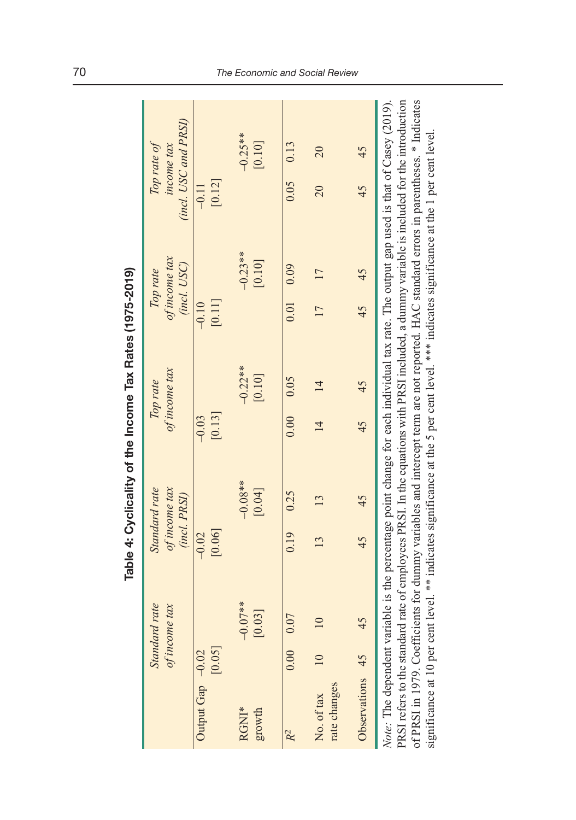|                            |        |                                                                                                                                                                                                                                                                                                                                                                                                                                                                                                                                                                            |                                                | Table 4: Cyclicality of the Income Tax Rates (1975-2019) |                     |                           |                              |                       |                   |                                                   |
|----------------------------|--------|----------------------------------------------------------------------------------------------------------------------------------------------------------------------------------------------------------------------------------------------------------------------------------------------------------------------------------------------------------------------------------------------------------------------------------------------------------------------------------------------------------------------------------------------------------------------------|------------------------------------------------|----------------------------------------------------------|---------------------|---------------------------|------------------------------|-----------------------|-------------------|---------------------------------------------------|
|                            |        | Standard rate<br>of income tax                                                                                                                                                                                                                                                                                                                                                                                                                                                                                                                                             | of income tax<br>Standard rate<br>(incl. PRSI) |                                                          |                     | of income tax<br>Top rate | of income tax<br>(incl. USC) | Top rate              |                   | (incl. USC and PRSI)<br>Top rate of<br>income tax |
| Output Gap -0.02           | [0.05] |                                                                                                                                                                                                                                                                                                                                                                                                                                                                                                                                                                            | [0.06]<br>$-0.02$                              |                                                          | $[0.13]$<br>$-0.03$ |                           | $[0.11]$<br>$-0.10$          |                       | [0.12]<br>$-0.11$ |                                                   |
| RGNI*<br>growth            |        | $-0.07**$<br>0.03]                                                                                                                                                                                                                                                                                                                                                                                                                                                                                                                                                         |                                                | $-0.08**$<br>[0.04]                                      |                     | $-0.22***$<br>$[0.10]$    |                              | $-0.23**$<br>$[0.10]$ |                   | $-0.25***$<br>$[0.10]$                            |
| R <sup>2</sup>             | 0.00   | 0.07                                                                                                                                                                                                                                                                                                                                                                                                                                                                                                                                                                       | 0.19                                           | 0.25                                                     | 0.00                | 0.05                      | 0.01                         | 0.09                  | 0.05              | 0.13                                              |
| rate changes<br>No. of tax |        | 10                                                                                                                                                                                                                                                                                                                                                                                                                                                                                                                                                                         | 13                                             | 13                                                       | $\overline{4}$      | $\overline{14}$           | $\overline{17}$              | $\overline{17}$       | $\overline{0}$    | 20                                                |
| Observations 45            |        | 45                                                                                                                                                                                                                                                                                                                                                                                                                                                                                                                                                                         | 45                                             | 45                                                       | 45                  | 45                        | 45                           | 45                    | 45                | 45                                                |
|                            |        | PRSI refers to the standard rate of employees PRSI. In the equations with PRSI included, a dummy variable is included for the introduction<br>of PRSI in 1979. Coefficients for dummy variables and intercept term are not reported. HAC standard errors in parentheses. * Indicates<br>Note: The dependent variable is the percentage point change for each individual tax rate. The output gap used is that of Casey (2019).<br>significance at 10 per cent level. ** indicates significance at the 5 per cent level. *** indicates significance at the 1 per cent level |                                                |                                                          |                     |                           |                              |                       |                   |                                                   |

Table 4: Cyclicality of the Income Tax Rates (1975-2019)

70 The Economic and Social Review

L,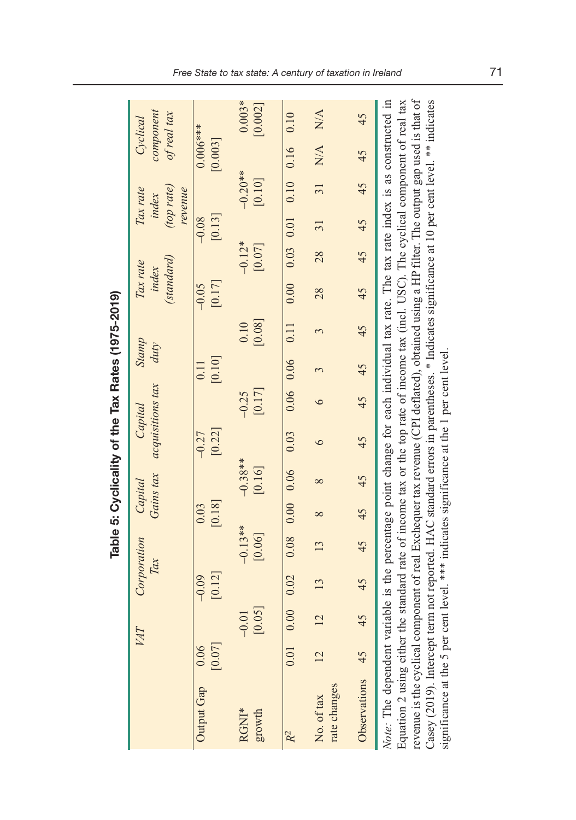|                                                                                                                                                                                                                                                                                                                                                                                                                                                                                                                                                        |                |                   |                                                                                                               |                     |                      |                     |                   | Table 5: Cyclicality of the Tax Rates (1975-2019) |                |                |                                 |                    |                                            |                       |                                      |                     |
|--------------------------------------------------------------------------------------------------------------------------------------------------------------------------------------------------------------------------------------------------------------------------------------------------------------------------------------------------------------------------------------------------------------------------------------------------------------------------------------------------------------------------------------------------------|----------------|-------------------|---------------------------------------------------------------------------------------------------------------|---------------------|----------------------|---------------------|-------------------|---------------------------------------------------|----------------|----------------|---------------------------------|--------------------|--------------------------------------------|-----------------------|--------------------------------------|---------------------|
|                                                                                                                                                                                                                                                                                                                                                                                                                                                                                                                                                        |                | VА                | Corporation<br>Tax                                                                                            |                     | Gains tax<br>Capital |                     |                   | acquisitions tax<br>Capital                       | Stamp<br>duty  |                | (standard)<br>Tax rate<br>index |                    | (top rate)<br>Tax rate<br>revenue<br>index |                       | component<br>of real tax<br>Cyclical |                     |
| Output Gap                                                                                                                                                                                                                                                                                                                                                                                                                                                                                                                                             | [0.07]<br>0.06 |                   | [0.12]<br>$-0.09$                                                                                             |                     | [0.18]<br>0.03       |                     | [0.22]<br>$-0.27$ |                                                   | [0.10]<br>0.11 |                | [0.17]<br>$-0.05$               |                    | $[0.13]$<br>$-0.08$                        |                       | $0.006***$<br>[0.003]                |                     |
| RGNI*<br>growth                                                                                                                                                                                                                                                                                                                                                                                                                                                                                                                                        |                | [50.0]<br>$-0.01$ |                                                                                                               | $-0.13**$<br>[0.06] |                      | $-0.38**$<br>[0.16] |                   | [0.17]<br>$-0.25$                                 |                | [0.08]<br>0.10 |                                 | $-0.12*$<br>[0.07] |                                            | $-0.20**$<br>$[0.10]$ |                                      | $0.003*$<br>[0.002] |
| R <sup>2</sup>                                                                                                                                                                                                                                                                                                                                                                                                                                                                                                                                         | 0.01           | 0.00              | 0.02                                                                                                          | 0.08                | $0.00$ 0.06          |                     | 0.03              | $0.06$ 0.06                                       |                | 0.11           | 0.00                            | $0.03$ 0.01        |                                            | $0.10$ 0.16           |                                      | 0.10                |
| rate changes<br>No. of tax                                                                                                                                                                                                                                                                                                                                                                                                                                                                                                                             | $\overline{2}$ | $\overline{2}$    | 13                                                                                                            | 13                  | $8^{\circ}$          | $\infty$            | 6                 | 6                                                 | 3              | 3              | 28                              | 28                 | $\overline{31}$                            | $\overline{31}$       | N/A                                  | N/A                 |
| Observations                                                                                                                                                                                                                                                                                                                                                                                                                                                                                                                                           | 45             | 45                | 45                                                                                                            | 45                  | 45                   | 45                  | 45                | 45                                                | 45             | 45             | 45                              | 45                 | 45                                         | 45                    | 45                                   | 45                  |
| revenue is the cyclical component of real Exchequer tax revenue (CPI deflated), obtained using a HP filter. The output gap used is that of<br>Casey (2019). Intercept term not reported. HAC standard errors in parentheses. * Indicates significance at 10 per cent level. ** indicates<br>Note: The dependent variable is the percentage point change for each individual tax rate. The tax rate index is as constructed in<br>significance at the 5 per cent level. *** indicates significance at the 1 per cent level<br>Equation 2 using either t |                |                   | the standard rate of income tax or the top rate of income tax (incl. USC). The cyclical component of real tax |                     |                      |                     |                   |                                                   |                |                |                                 |                    |                                            |                       |                                      |                     |

Table 5: Cyclicality of the Tax Rates (1975-2019)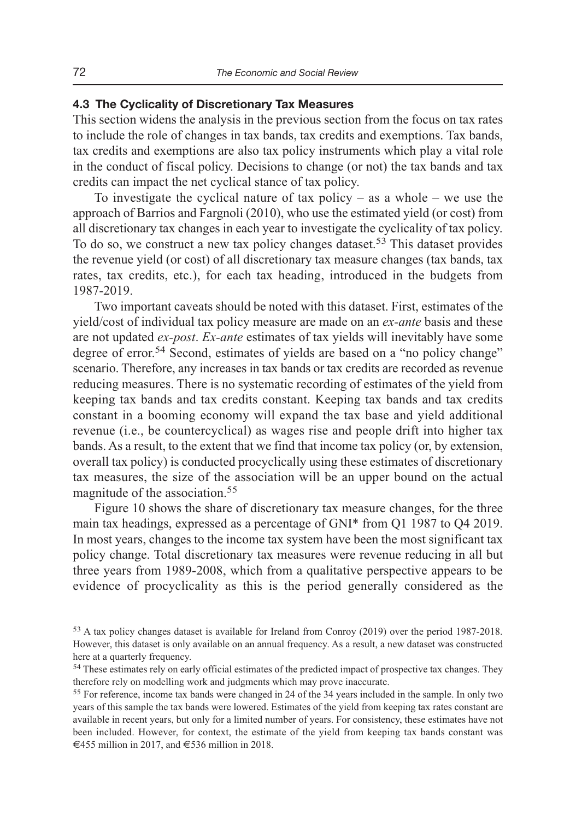## **4.3 The Cyclicality of Discretionary Tax Measures**

This section widens the analysis in the previous section from the focus on tax rates to include the role of changes in tax bands, tax credits and exemptions. Tax bands, tax credits and exemptions are also tax policy instruments which play a vital role in the conduct of fiscal policy. Decisions to change (or not) the tax bands and tax credits can impact the net cyclical stance of tax policy.

To investigate the cyclical nature of tax policy – as a whole – we use the approach of Barrios and Fargnoli (2010), who use the estimated yield (or cost) from all discretionary tax changes in each year to investigate the cyclicality of tax policy. To do so, we construct a new tax policy changes dataset.<sup>53</sup> This dataset provides the revenue yield (or cost) of all discretionary tax measure changes (tax bands, tax rates, tax credits, etc.), for each tax heading, introduced in the budgets from 1987-2019.

Two important caveats should be noted with this dataset. First, estimates of the yield/cost of individual tax policy measure are made on an *ex-ante* basis and these are not updated *ex-post*. *Ex-ante* estimates of tax yields will inevitably have some degree of error.<sup>54</sup> Second, estimates of yields are based on a "no policy change" scenario. Therefore, any increases in tax bands or tax credits are recorded as revenue reducing measures. There is no systematic recording of estimates of the yield from keeping tax bands and tax credits constant. Keeping tax bands and tax credits constant in a booming economy will expand the tax base and yield additional revenue (i.e., be countercyclical) as wages rise and people drift into higher tax bands. As a result, to the extent that we find that income tax policy (or, by extension, overall tax policy) is conducted procyclically using these estimates of discretionary tax measures, the size of the association will be an upper bound on the actual magnitude of the association.<sup>55</sup>

Figure 10 shows the share of discretionary tax measure changes, for the three main tax headings, expressed as a percentage of GNI\* from Q1 1987 to Q4 2019. In most years, changes to the income tax system have been the most significant tax policy change. Total discretionary tax measures were revenue reducing in all but three years from 1989-2008, which from a qualitative perspective appears to be evidence of procyclicality as this is the period generally considered as the

<sup>53</sup>A tax policy changes dataset is available for Ireland from Conroy (2019) over the period 1987-2018. However, this dataset is only available on an annual frequency. As a result, a new dataset was constructed here at a quarterly frequency.

<sup>&</sup>lt;sup>54</sup> These estimates rely on early official estimates of the predicted impact of prospective tax changes. They therefore rely on modelling work and judgments which may prove inaccurate.

<sup>&</sup>lt;sup>55</sup> For reference, income tax bands were changed in 24 of the 34 years included in the sample. In only two years of this sample the tax bands were lowered. Estimates of the yield from keeping tax rates constant are available in recent years, but only for a limited number of years. For consistency, these estimates have not been included. However, for context, the estimate of the yield from keeping tax bands constant was €455 million in 2017, and €536 million in 2018.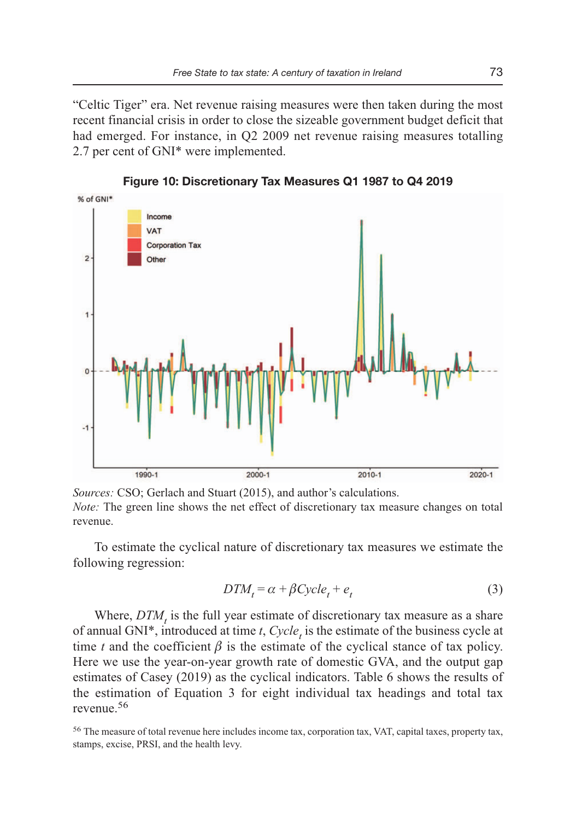"Celtic Tiger" era. Net revenue raising measures were then taken during the most recent financial crisis in order to close the sizeable government budget deficit that had emerged. For instance, in Q2 2009 net revenue raising measures totalling 2.7 per cent of GNI\* were implemented.



**Figure 10: Discretionary Tax Measures Q1 1987 to Q4 2019** 

*Sources:* CSO; Gerlach and Stuart (2015), and author's calculations. *Note:* The green line shows the net effect of discretionary tax measure changes on total revenue.

To estimate the cyclical nature of discretionary tax measures we estimate the following regression:

$$
DTM_t = \alpha + \beta Cycle_t + e_t \tag{3}
$$

Where,  $DTM$ , is the full year estimate of discretionary tax measure as a share of annual GNI<sup>\*</sup>, introduced at time *t*,  $Cycle<sub>t</sub>$  is the estimate of the business cycle at time *t* and the coefficient  $\beta$  is the estimate of the cyclical stance of tax policy. Here we use the year-on-year growth rate of domestic GVA, and the output gap estimates of Casey (2019) as the cyclical indicators. Table 6 shows the results of the estimation of Equation 3 for eight individual tax headings and total tax revenue<sup>56</sup>

<sup>56</sup>The measure of total revenue here includes income tax, corporation tax, VAT, capital taxes, property tax, stamps, excise, PRSI, and the health levy.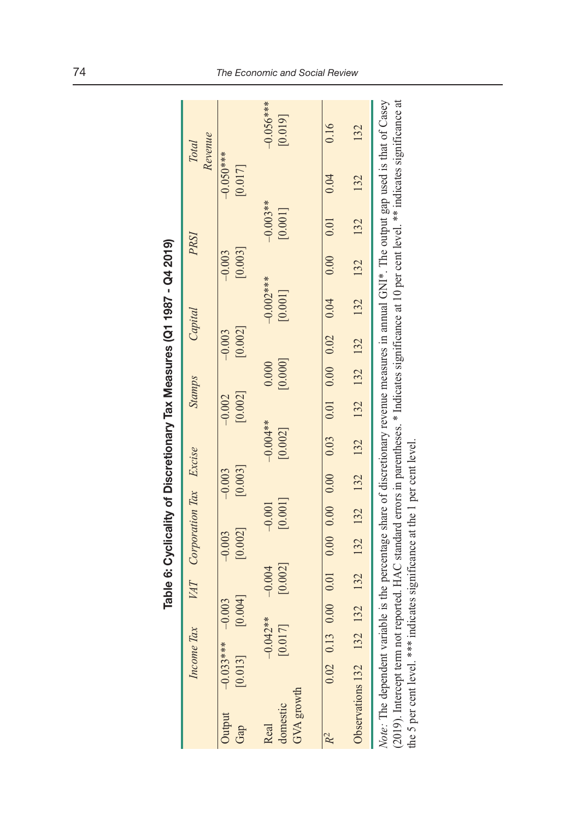|                                                                        | ----        |
|------------------------------------------------------------------------|-------------|
|                                                                        |             |
|                                                                        |             |
| Table 6: Cyclicality of Discretionary Tax Measures (Q1 1987 - Q4 2019) |             |
|                                                                        |             |
|                                                                        | .<br>.<br>. |
|                                                                        |             |
|                                                                        |             |
|                                                                        |             |
|                                                                        | $\ddot{ }$  |

|                                                                                                                                                                                                                                                                                                                                                                                 |                        | Income Tax            |                     |                     | VAT Corporation Tax Excise |                     |                     |                                                                                                          | Stamps              |                  |                     | Capital                |                     | PRSI                    |                        | Revenue<br><b>Total</b> |
|---------------------------------------------------------------------------------------------------------------------------------------------------------------------------------------------------------------------------------------------------------------------------------------------------------------------------------------------------------------------------------|------------------------|-----------------------|---------------------|---------------------|----------------------------|---------------------|---------------------|----------------------------------------------------------------------------------------------------------|---------------------|------------------|---------------------|------------------------|---------------------|-------------------------|------------------------|-------------------------|
| Jutput<br>Gap                                                                                                                                                                                                                                                                                                                                                                   | $-0.033***$<br>[0.013] |                       | [0.004]<br>$-0.003$ |                     | [0.002]<br>$-0.003$        |                     | [0.003]<br>$-0.003$ |                                                                                                          | [0.002]<br>$-0.002$ |                  | [0.002]<br>$-0.003$ |                        | [0.003]<br>$-0.003$ |                         | $-0.050***$<br>[0.017] |                         |
| GVA growth<br>domestic<br>Real                                                                                                                                                                                                                                                                                                                                                  |                        | $-0.042**$<br>[0.017] |                     | [0.002]<br>$-0.004$ |                            | [0.001]<br>$-0.001$ |                     | $-0.004**$<br>[0.002]                                                                                    |                     | [0.000]<br>0.000 |                     | $-0.002***$<br>[0.001] |                     | $-0.003**$<br>$[0.001]$ |                        | $-0.056***$<br>[0.019]  |
|                                                                                                                                                                                                                                                                                                                                                                                 | $0.02$ $0.13$          |                       |                     |                     |                            |                     |                     | $0.00$ $0.00$ $0.00$ $0.00$ $0.00$ $0.00$ $0.00$ $0.00$ $0.00$ $0.00$ $0.00$ $0.00$ $0.00$ $0.00$ $0.00$ |                     |                  |                     |                        | 0.00000001          |                         | 0.04                   | 0.16                    |
| Observations 132 132                                                                                                                                                                                                                                                                                                                                                            |                        |                       |                     |                     |                            |                     |                     | 132 132 132 132 132 132 132 132 132                                                                      |                     |                  |                     | 132                    | 132 132             |                         | 132                    | 132                     |
| (2019). Intercept term not reported. HAC standard errors in parentheses. * Indicates significance at 10 per cent level. ** indicates significance at<br>Note: The dependent variable is the percentage share of discretionary revenue measures in annual GNI*. The output gap used is that of Casey<br>the 5 per cent level. *** indicates significance at the 1 per cent level |                        |                       |                     |                     |                            |                     |                     |                                                                                                          |                     |                  |                     |                        |                     |                         |                        |                         |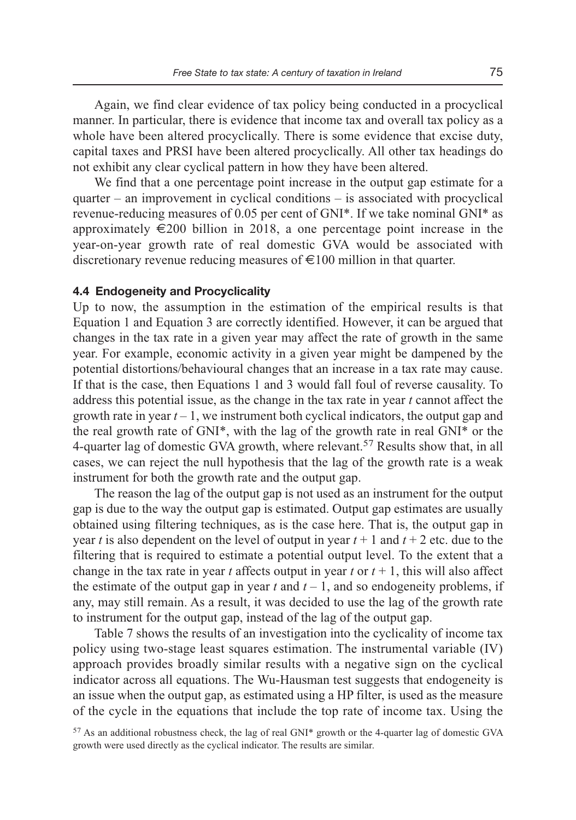Again, we find clear evidence of tax policy being conducted in a procyclical manner. In particular, there is evidence that income tax and overall tax policy as a whole have been altered procyclically. There is some evidence that excise duty, capital taxes and PRSI have been altered procyclically. All other tax headings do not exhibit any clear cyclical pattern in how they have been altered.

We find that a one percentage point increase in the output gap estimate for a quarter – an improvement in cyclical conditions – is associated with procyclical revenue-reducing measures of 0.05 per cent of GNI\*. If we take nominal GNI\* as approximately  $\in$ 200 billion in 2018, a one percentage point increase in the year-on-year growth rate of real domestic GVA would be associated with discretionary revenue reducing measures of  $\epsilon$ 100 million in that quarter.

#### **4.4 Endogeneity and Procyclicality**

Up to now, the assumption in the estimation of the empirical results is that Equation 1 and Equation 3 are correctly identified. However, it can be argued that changes in the tax rate in a given year may affect the rate of growth in the same year. For example, economic activity in a given year might be dampened by the potential distortions/behavioural changes that an increase in a tax rate may cause. If that is the case, then Equations 1 and 3 would fall foul of reverse causality. To address this potential issue, as the change in the tax rate in year *t* cannot affect the growth rate in year  $t - 1$ , we instrument both cyclical indicators, the output gap and the real growth rate of GNI\*, with the lag of the growth rate in real GNI\* or the 4-quarter lag of domestic GVA growth, where relevant.57 Results show that, in all cases, we can reject the null hypothesis that the lag of the growth rate is a weak instrument for both the growth rate and the output gap.

The reason the lag of the output gap is not used as an instrument for the output gap is due to the way the output gap is estimated. Output gap estimates are usually obtained using filtering techniques, as is the case here. That is, the output gap in year *t* is also dependent on the level of output in year  $t + 1$  and  $t + 2$  etc. due to the filtering that is required to estimate a potential output level. To the extent that a change in the tax rate in year *t* affects output in year *t* or  $t + 1$ , this will also affect the estimate of the output gap in year  $t$  and  $t - 1$ , and so endogeneity problems, if any, may still remain. As a result, it was decided to use the lag of the growth rate to instrument for the output gap, instead of the lag of the output gap.

Table 7 shows the results of an investigation into the cyclicality of income tax policy using two-stage least squares estimation. The instrumental variable (IV) approach provides broadly similar results with a negative sign on the cyclical indicator across all equations. The Wu-Hausman test suggests that endogeneity is an issue when the output gap, as estimated using a HP filter, is used as the measure of the cycle in the equations that include the top rate of income tax. Using the

 $57$  As an additional robustness check, the lag of real GNI\* growth or the 4-quarter lag of domestic GVA growth were used directly as the cyclical indicator. The results are similar.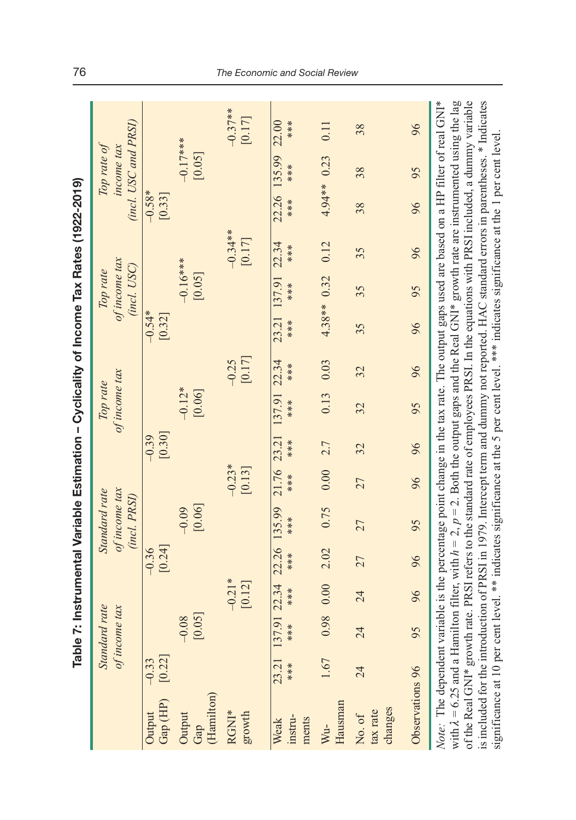|                                                                                                                                                                                                                                                                                                                                                                                                                                                                                                                                                                                                                                                                                                                                       |                   |                                |                    |                   | Table 7: Instrumental Variable Estimation – Cyclicality of Income Tax Rates (1922-2019) |                    |                   |                           |                   |                    |                                          |                     |                    |                                                   |                     |
|---------------------------------------------------------------------------------------------------------------------------------------------------------------------------------------------------------------------------------------------------------------------------------------------------------------------------------------------------------------------------------------------------------------------------------------------------------------------------------------------------------------------------------------------------------------------------------------------------------------------------------------------------------------------------------------------------------------------------------------|-------------------|--------------------------------|--------------------|-------------------|-----------------------------------------------------------------------------------------|--------------------|-------------------|---------------------------|-------------------|--------------------|------------------------------------------|---------------------|--------------------|---------------------------------------------------|---------------------|
|                                                                                                                                                                                                                                                                                                                                                                                                                                                                                                                                                                                                                                                                                                                                       |                   | Standard rate<br>of income tax |                    |                   | of income tax<br>Standard rate<br>(incl. PRSI)                                          |                    |                   | of income tax<br>Top rate |                   |                    | of income tax<br>(incl. USC)<br>lop rate |                     |                    | (incl. USC and PRSI)<br>Top rate of<br>income tax |                     |
| Gap (HP)<br>Output                                                                                                                                                                                                                                                                                                                                                                                                                                                                                                                                                                                                                                                                                                                    | [0.22]<br>$-0.33$ |                                |                    | [0.24]<br>$-0.36$ |                                                                                         |                    | [0.30]<br>$-0.39$ |                           |                   | $-0.54*$<br>[0.32] |                                          |                     | $-0.58*$<br>[0.33] |                                                   |                     |
| (Hamilton)<br>Output<br>Gap                                                                                                                                                                                                                                                                                                                                                                                                                                                                                                                                                                                                                                                                                                           |                   | [0.05]<br>$-0.08$              |                    |                   | [0.06]<br>$-0.09$                                                                       |                    |                   | $-0.12*$<br>[0.06]        |                   |                    | $-0.16***$<br>[0.05]                     |                     |                    | $-0.17***$<br>[0.05]                              |                     |
| RGNI*<br>growth                                                                                                                                                                                                                                                                                                                                                                                                                                                                                                                                                                                                                                                                                                                       |                   |                                | $-0.21*$<br>[0.12] |                   |                                                                                         | $-0.23*$<br>[0.13] |                   |                           | [0.17]<br>$-0.25$ |                    |                                          | $-0.34**$<br>[0.17] |                    |                                                   | $-0.37**$<br>[0.17] |
| instru-<br>ments<br>Weak                                                                                                                                                                                                                                                                                                                                                                                                                                                                                                                                                                                                                                                                                                              | 23.21<br>***      | 137.91 22.34<br>***            | ****               | 22.26<br>****     | 135.99<br>****                                                                          | 21.76<br>****      | 23.21<br>****     | 137.91<br>****            | 22.34<br>****     | 23.21<br>****      | 137.91<br>****                           | 22.34<br>****       | ****               | 22.26 135.99<br>****                              | 22.00<br>****       |
| Hausman<br>Wu-                                                                                                                                                                                                                                                                                                                                                                                                                                                                                                                                                                                                                                                                                                                        | 1.67              |                                | 0.00 86.0          | 2.02              | 0.75                                                                                    | 0.00               | 2.7               | 0.13                      | 0.03              |                    | $4.38**$ 0.32                            | 0.12                |                    | 4.94** 0.23                                       | 0.11                |
| changes<br>tax rate<br>No. of                                                                                                                                                                                                                                                                                                                                                                                                                                                                                                                                                                                                                                                                                                         | 24                | 24                             | 24                 | 27                | 27                                                                                      | 27                 | 32                | 32                        | 32                | 35                 | 35                                       | 35                  | 38                 | 38                                                | 38                  |
| Observations 96                                                                                                                                                                                                                                                                                                                                                                                                                                                                                                                                                                                                                                                                                                                       |                   | 95                             | 96                 | 96                | 95                                                                                      | 96                 | 96                | 95                        | 96                | 96                 | 95                                       | 96                  | 96                 | 95                                                | 96                  |
| with $\lambda$ = 6.25 and a Hamilton filter, with $h = 2$ , $p = 2$ . Both the output gaps and the Real GNI* growth rate are instrumented using the lag<br>of the Real GNI* growth rate. PRSI refers to the standard rate of employees PRSI. In the equations with PRSI included, a dummy variable<br>is included for the introduction of PRSI in 1979. Intercept term and dummy not reported. HAC standard errors in parentheses. * Indicates<br>Note: The dependent variable is the percentage point change in the tax rate. The output gaps used are based on a HP filter of real GNI*<br>significance at 10 per cent level. ** indicates significance at the 5 per cent level. *** indicates significance at the 1 per cent level |                   |                                |                    |                   |                                                                                         |                    |                   |                           |                   |                    |                                          |                     |                    |                                                   |                     |

## 76 The Economic and Social Review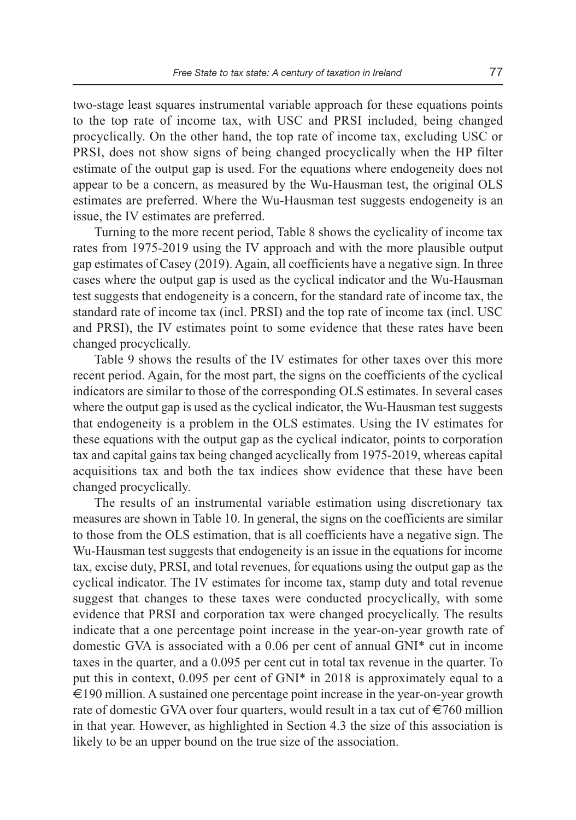two-stage least squares instrumental variable approach for these equations points to the top rate of income tax, with USC and PRSI included, being changed procyclically. On the other hand, the top rate of income tax, excluding USC or PRSI, does not show signs of being changed procyclically when the HP filter estimate of the output gap is used. For the equations where endogeneity does not appear to be a concern, as measured by the Wu-Hausman test, the original OLS estimates are preferred. Where the Wu-Hausman test suggests endogeneity is an issue, the IV estimates are preferred.

Turning to the more recent period, Table 8 shows the cyclicality of income tax rates from 1975-2019 using the IV approach and with the more plausible output gap estimates of Casey (2019). Again, all coefficients have a negative sign. In three cases where the output gap is used as the cyclical indicator and the Wu-Hausman test suggests that endogeneity is a concern, for the standard rate of income tax, the standard rate of income tax (incl. PRSI) and the top rate of income tax (incl. USC and PRSI), the IV estimates point to some evidence that these rates have been changed procyclically.

Table 9 shows the results of the IV estimates for other taxes over this more recent period. Again, for the most part, the signs on the coefficients of the cyclical indicators are similar to those of the corresponding OLS estimates. In several cases where the output gap is used as the cyclical indicator, the Wu-Hausman test suggests that endogeneity is a problem in the OLS estimates. Using the IV estimates for these equations with the output gap as the cyclical indicator, points to corporation tax and capital gains tax being changed acyclically from 1975-2019, whereas capital acquisitions tax and both the tax indices show evidence that these have been changed procyclically.

The results of an instrumental variable estimation using discretionary tax measures are shown in Table 10. In general, the signs on the coefficients are similar to those from the OLS estimation, that is all coefficients have a negative sign. The Wu-Hausman test suggests that endogeneity is an issue in the equations for income tax, excise duty, PRSI, and total revenues, for equations using the output gap as the cyclical indicator. The IV estimates for income tax, stamp duty and total revenue suggest that changes to these taxes were conducted procyclically, with some evidence that PRSI and corporation tax were changed procyclically. The results indicate that a one percentage point increase in the year-on-year growth rate of domestic GVA is associated with a 0.06 per cent of annual GNI\* cut in income taxes in the quarter, and a 0.095 per cent cut in total tax revenue in the quarter. To put this in context, 0.095 per cent of GNI\* in 2018 is approximately equal to a  $\epsilon$ 190 million. A sustained one percentage point increase in the year-on-year growth rate of domestic GVA over four quarters, would result in a tax cut of  $\epsilon$ 760 million in that year. However, as highlighted in Section 4.3 the size of this association is likely to be an upper bound on the true size of the association.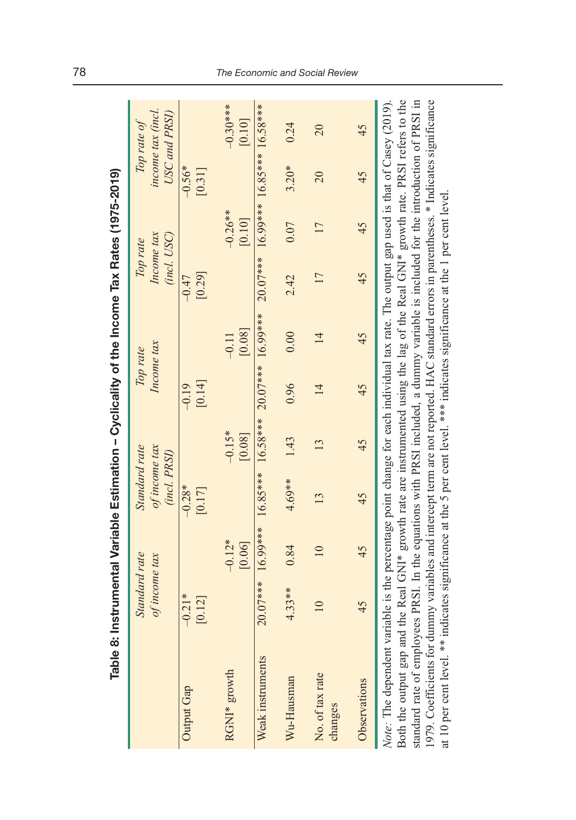| Table 8:                                                                                                                                                                                                                                                                                                                                                                                                                                                                                                                                                                           |                                | Instrumental Variable Estimation – Cyclicality of the Income Tax Rates (1975-2019)                        |                                                |                    |                        |                   |                                       |                                       |                    |                                                   |
|------------------------------------------------------------------------------------------------------------------------------------------------------------------------------------------------------------------------------------------------------------------------------------------------------------------------------------------------------------------------------------------------------------------------------------------------------------------------------------------------------------------------------------------------------------------------------------|--------------------------------|-----------------------------------------------------------------------------------------------------------|------------------------------------------------|--------------------|------------------------|-------------------|---------------------------------------|---------------------------------------|--------------------|---------------------------------------------------|
|                                                                                                                                                                                                                                                                                                                                                                                                                                                                                                                                                                                    | Standard rate<br>of income tax |                                                                                                           | Standard rate<br>of income tax<br>(incl. PRSI) |                    | Income tax<br>Top rate |                   | Income tax<br>(incl. USC)<br>Top rate |                                       |                    | income tax (incl.<br>USC and PRSI)<br>Top rate of |
| Output Gap                                                                                                                                                                                                                                                                                                                                                                                                                                                                                                                                                                         | $-0.21*$<br>[0.12]             |                                                                                                           | $-0.28*$<br>[0.17]                             |                    | [0.14]<br>$-0.19$      |                   | [0.29]<br>$-0.47$                     |                                       | $-0.56*$<br>[0.31] |                                                   |
| RGNI* growth                                                                                                                                                                                                                                                                                                                                                                                                                                                                                                                                                                       |                                | $-0.12*$<br>[0.06]                                                                                        |                                                | $-0.15*$<br>[0.08] |                        | [0.08]<br>$-0.11$ |                                       | $-0.26**$<br>[0.10]                   |                    | $-0.30***$<br>[0.10]                              |
| Weak instruments                                                                                                                                                                                                                                                                                                                                                                                                                                                                                                                                                                   |                                | $20.07***$ $16.99***$ $16.85***$ $16.58***$ $20.07***$ $16.99***$                                         |                                                |                    |                        |                   |                                       | $20.07***$ 16.99*** 16.85*** 16.58*** |                    |                                                   |
| Wu-Hausman                                                                                                                                                                                                                                                                                                                                                                                                                                                                                                                                                                         | $4.33**$                       | 0.84                                                                                                      | $4.69**$                                       | 1.43               | 0.96                   | 0.00              | 2.42                                  | 0.07                                  | $3.20*$            | 0.24                                              |
| No. of tax rate<br>changes                                                                                                                                                                                                                                                                                                                                                                                                                                                                                                                                                         | $\overline{10}$                | $\overline{10}$                                                                                           | 13                                             | 13                 | $\overline{14}$        | $\overline{4}$    | 17                                    | 17                                    | 20                 | 20                                                |
| Observations                                                                                                                                                                                                                                                                                                                                                                                                                                                                                                                                                                       | 45                             | 45                                                                                                        | 45                                             | 45                 | 45                     | 45                | 45                                    | 45                                    | 45                 | 45                                                |
| standard rate of employees PRSI. In the equations with PRSI included, a dummy variable is included for the introduction of PRSI in<br>1979. Coefficients for dummy variables and intercept term are not reported. HAC standard errors in parentheses. * Indicates significance<br>Note: The dependent variable is the percentage point change for each individual tax rate. The output gap used is that of Casey (2019).<br>at 10 per cent level. ** indicates significance at the 5 per cent level. *** indicates significance at the 1 per cent level<br>Both the output gap and |                                | the Real GNI* growth rate are instrumented using the lag of the Real GNI* growth rate. PRSI refers to the |                                                |                    |                        |                   |                                       |                                       |                    |                                                   |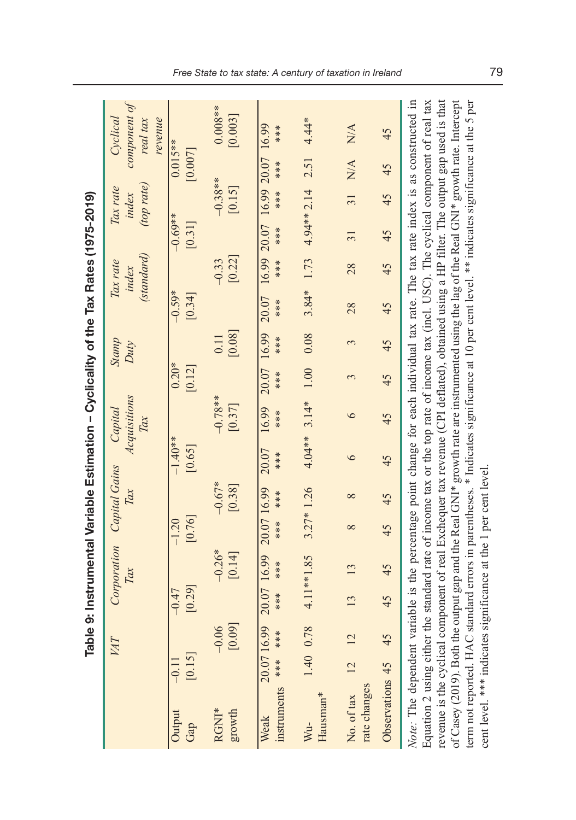|                                                                                                                                                                                                                                                                                                                                                                                                                                                                                                                                                                                                                           |                   | <b>Tabl</b>       |                     | e 9: Instrumental Variable Estimation – Cyclicality of the Tax Rates (1975-2019) |                     |                      |                     |                                |                   |                |                    |                                 |                     |                                 |                      |                                                                                                                       |
|---------------------------------------------------------------------------------------------------------------------------------------------------------------------------------------------------------------------------------------------------------------------------------------------------------------------------------------------------------------------------------------------------------------------------------------------------------------------------------------------------------------------------------------------------------------------------------------------------------------------------|-------------------|-------------------|---------------------|----------------------------------------------------------------------------------|---------------------|----------------------|---------------------|--------------------------------|-------------------|----------------|--------------------|---------------------------------|---------------------|---------------------------------|----------------------|-----------------------------------------------------------------------------------------------------------------------|
|                                                                                                                                                                                                                                                                                                                                                                                                                                                                                                                                                                                                                           |                   | VAT               |                     | Corporation<br>Tax                                                               |                     | Capital Gains<br>Tax |                     | Acquisitions<br>Capital<br>Tax |                   | Stamp<br>Duty  |                    | (standard)<br>Tax rate<br>index |                     | (top rate)<br>Tax rate<br>index |                      | component of<br>Cyclical<br>revenue<br>real tax                                                                       |
| Output<br>Gap                                                                                                                                                                                                                                                                                                                                                                                                                                                                                                                                                                                                             | [0.15]<br>$-0.11$ |                   | [0.29]<br>$-0.47$   |                                                                                  | [0.76]<br>$-1.20$   |                      | $-1.40**$<br>[0.65] |                                | $0.20*$<br>[0.12] |                | $-0.59*$<br>[0.34] |                                 | $-0.69**$<br>[0.31] |                                 | $0.015**$<br>[0.007] |                                                                                                                       |
| RGNI*<br>growth                                                                                                                                                                                                                                                                                                                                                                                                                                                                                                                                                                                                           |                   | [0.09]<br>$-0.06$ |                     | $-0.26*$<br>[0.14]                                                               |                     | $-0.67*$<br>[0.38]   |                     | $-0.78**$<br>[0.37]            |                   | [0.08]<br>0.11 |                    | [0.22]<br>$-0.33$               |                     | $-0.38**$<br>[0.15]             |                      | $0.008**$<br>[0.003]                                                                                                  |
| instruments *** ***<br>Weak                                                                                                                                                                                                                                                                                                                                                                                                                                                                                                                                                                                               | 20.07 16.99       |                   | 20.07 16.99<br>**** | ****                                                                             | 20.07 16.99<br>**** | ***                  | 20.07<br>****       | 16.99<br>****                  | 20.07<br>***      | 16.99<br>****  | 20.07<br>***       | 16.99 20.07<br>***              | ***                 | 16.99 20.07<br>****             | ****                 | 16.99<br>***                                                                                                          |
| Hausman*<br>Wu-                                                                                                                                                                                                                                                                                                                                                                                                                                                                                                                                                                                                           | 1.40 0.78         |                   |                     | 4.11**1.85                                                                       | $3.27*1.26$         |                      |                     | $4.04***$ 3.14*                | 1.00              | 0.08           | $3.84*$            | 1.73                            | 4.94** 2.14         |                                 | 2.51                 | $4.44*$                                                                                                               |
| rate changes<br>No. of tax                                                                                                                                                                                                                                                                                                                                                                                                                                                                                                                                                                                                | $\overline{2}$    |                   | 13                  | 13                                                                               | $\infty$            | $\infty$             | $\circ$             | $\circ$                        | 3                 | 3              | 28                 | 28                              | $\overline{31}$     | $\overline{31}$                 | N/A                  | N/A                                                                                                                   |
| Observations 45                                                                                                                                                                                                                                                                                                                                                                                                                                                                                                                                                                                                           |                   | 45                | 45                  | 45                                                                               | 45                  | 45                   | 45                  | 45                             | 45                | 45             | 45                 | 45                              | 45                  | 45                              | 45                   | 45                                                                                                                    |
| Note: The dependent variable is the percentage point change for each individual tax rate. The tax rate index is as constructed in<br>Equation 2 using either the standard rate of income tax or the top rate of income tax (incl. USC). The cyclical component of real tax<br>revenue is the cyclical component of real Exchequer tax revenue (CPI deflated), obtained using a HP filter. The output gap used is that<br>of Casey (2019). Both the output gap and the Real GNI* growth rate are instrumented using the lag of the Real GNI* growth rate. Intercept<br>term not reported. HAC<br>cent level. *** indicates |                   |                   |                     | significance at the 1 per cent level                                             |                     |                      |                     |                                |                   |                |                    |                                 |                     |                                 |                      | standard errors in parentheses. * Indicates significance at 10 per cent level. ** indicates significance at the 5 per |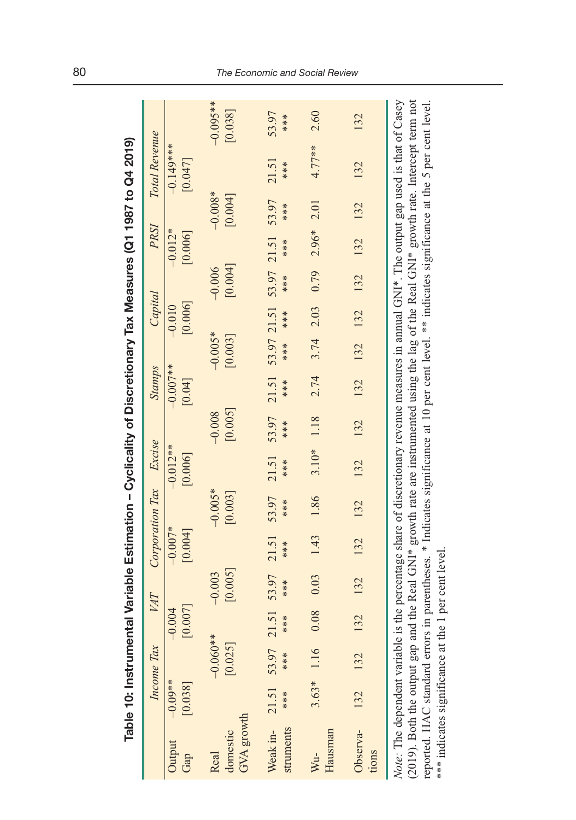| <b>CHANGE TO CHANGE TO A CHANGE</b>                                                                                                                                                                                            |
|--------------------------------------------------------------------------------------------------------------------------------------------------------------------------------------------------------------------------------|
|                                                                                                                                                                                                                                |
|                                                                                                                                                                                                                                |
|                                                                                                                                                                                                                                |
|                                                                                                                                                                                                                                |
|                                                                                                                                                                                                                                |
|                                                                                                                                                                                                                                |
| iischin vel viennism                                                                                                                                                                                                           |
| I                                                                                                                                                                                                                              |
|                                                                                                                                                                                                                                |
|                                                                                                                                                                                                                                |
|                                                                                                                                                                                                                                |
|                                                                                                                                                                                                                                |
|                                                                                                                                                                                                                                |
|                                                                                                                                                                                                                                |
| ;<br>;<br>;<br>;<br>$\overline{a}$                                                                                                                                                                                             |
|                                                                                                                                                                                                                                |
|                                                                                                                                                                                                                                |
|                                                                                                                                                                                                                                |
| Ì                                                                                                                                                                                                                              |
|                                                                                                                                                                                                                                |
|                                                                                                                                                                                                                                |
| in the contract of the contract of the contract of the contract of the contract of the contract of the contract of the contract of the contract of the contract of the contract of the contract of the contract of the contrac |
| $\frac{1}{1}$                                                                                                                                                                                                                  |
|                                                                                                                                                                                                                                |
|                                                                                                                                                                                                                                |
|                                                                                                                                                                                                                                |
|                                                                                                                                                                                                                                |
| $\frac{1}{2}$                                                                                                                                                                                                                  |
| 医皮肤病 医皮肤病 医皮肤病 医心理学家                                                                                                                                                                                                           |
|                                                                                                                                                                                                                                |
|                                                                                                                                                                                                                                |
|                                                                                                                                                                                                                                |
|                                                                                                                                                                                                                                |
|                                                                                                                                                                                                                                |
|                                                                                                                                                                                                                                |
|                                                                                                                                                                                                                                |
|                                                                                                                                                                                                                                |
|                                                                                                                                                                                                                                |
|                                                                                                                                                                                                                                |
|                                                                                                                                                                                                                                |
| ֧֛֧֦֧֢֛֧֧֧֧֧֛֛֧֚֚֚֚֚֚֚֚֚֚֚֚֚֚֚֚֚֚֜֝֓֜֜֜֜֝                                                                                                                                                                                      |
|                                                                                                                                                                                                                                |
| able -                                                                                                                                                                                                                         |
|                                                                                                                                                                                                                                |

|                                                                                                                                                                                                                                                                                                                                                                                 |                      |                       |                     |                          |                      |                      |                       |                     |                                            |                                            |                     |                     |                      |                      | Table 10: Instrumental Variable Estimation – Cyclicality of Discretionary Tax Measures (Q1 1987 to Q4 2019)       |                       |
|---------------------------------------------------------------------------------------------------------------------------------------------------------------------------------------------------------------------------------------------------------------------------------------------------------------------------------------------------------------------------------|----------------------|-----------------------|---------------------|--------------------------|----------------------|----------------------|-----------------------|---------------------|--------------------------------------------|--------------------------------------------|---------------------|---------------------|----------------------|----------------------|-------------------------------------------------------------------------------------------------------------------|-----------------------|
|                                                                                                                                                                                                                                                                                                                                                                                 |                      | Income Tax            |                     | VAT                      | Corporation Tax      |                      | Excise                |                     | <b>Stamps</b>                              |                                            | Capital             |                     | PRSI                 |                      | Total Revenue                                                                                                     |                       |
| Output<br>Gap                                                                                                                                                                                                                                                                                                                                                                   | $-0.09**$<br>[0.038] |                       | [0.007]<br>$-0.004$ |                          | $-0.007*$<br>[0.004] |                      | $-0.012**$<br>[0.006] |                     | $-0.007**$<br>[0.04]                       |                                            | [0.006]<br>$-0.010$ |                     | $-0.012*$<br>[0.006] |                      | $-0.149***$<br>[0.047]                                                                                            |                       |
| GVA growth<br>domestic<br>Real                                                                                                                                                                                                                                                                                                                                                  |                      | $-0.060**$<br>[0.025] |                     | [0.005]<br>$-0.003$      |                      | $-0.005*$<br>[0.003] |                       | [0.005]<br>$-0.008$ |                                            | $-0.005*$<br>[0.003]                       |                     | [0.004]<br>$-0.006$ |                      | $-0.008*$<br>[0.004] |                                                                                                                   | $-0.095**$<br>[0.038] |
| struments<br>Weak in-                                                                                                                                                                                                                                                                                                                                                           | 21.51<br>***         | ***                   |                     | 53.97 21.51 53.97<br>*** | 21.51<br>***         | 53.97<br>***         | 21.51<br>***          | 53.97<br>***        | 21.51 53.97 21.51 53.97 21.51 53.97<br>*** | $***$                                      | ****                | ****                | ***                  | ***                  | 21.51<br>***                                                                                                      | 53.97<br>***          |
| Hausman<br>Wu-                                                                                                                                                                                                                                                                                                                                                                  |                      | $3.63*1.16$           |                     | 0.08 0.03                |                      | 1.43 1.86            |                       | $3.10*$ 1.18        |                                            | $2.74$ $3.74$ $2.03$ $0.79$ $2.96*$ $2.01$ |                     |                     |                      |                      | $4.77**$                                                                                                          | 2.60                  |
| Observa-<br>tions                                                                                                                                                                                                                                                                                                                                                               | 132                  | 132                   | $\frac{32}{2}$      | 132                      | 132 132              |                      | 132                   | 132                 |                                            | 132 132 132 132 132 132                    |                     |                     |                      |                      | 132                                                                                                               | 132                   |
| Note: The dependent variable is the percentage share of discretionary revenue measures in annual GNI*. The output gap used is that of Casey<br>(2019). Both the output gap and the Real GNI* growth rate are instrumented using the lag of the Real GNI* growth rate. Intercept term not<br>*** indicates significance at the 1 per cent level<br>reported. HAC standard errors |                      |                       |                     |                          |                      |                      |                       |                     |                                            |                                            |                     |                     |                      |                      | in parentheses. * Indicates significance at 10 per cent level. ** indicates significance at the 5 per cent level. |                       |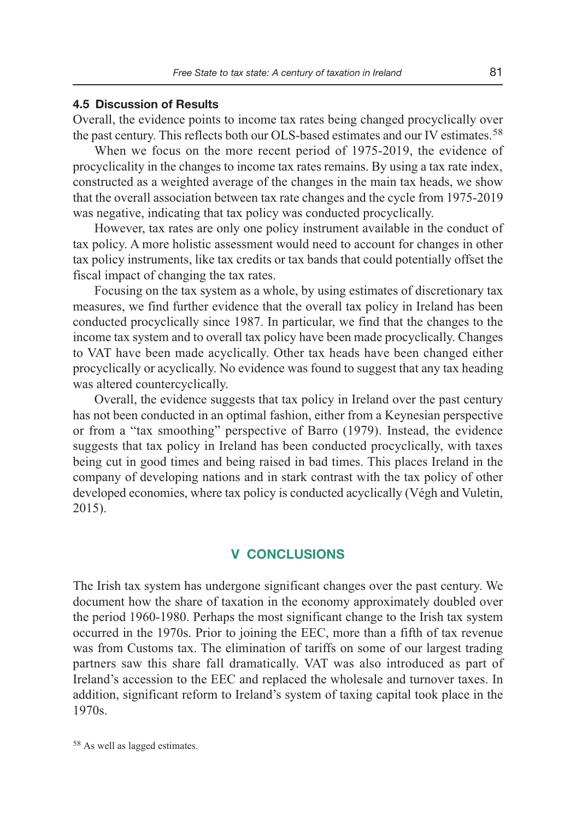#### **4.5 Discussion of Results**

Overall, the evidence points to income tax rates being changed procyclically over the past century. This reflects both our OLS-based estimates and our IV estimates.<sup>58</sup>

When we focus on the more recent period of 1975-2019, the evidence of procyclicality in the changes to income tax rates remains. By using a tax rate index, constructed as a weighted average of the changes in the main tax heads, we show that the overall association between tax rate changes and the cycle from 1975-2019 was negative, indicating that tax policy was conducted procyclically.

However, tax rates are only one policy instrument available in the conduct of tax policy. A more holistic assessment would need to account for changes in other tax policy instruments, like tax credits or tax bands that could potentially offset the fiscal impact of changing the tax rates.

Focusing on the tax system as a whole, by using estimates of discretionary tax measures, we find further evidence that the overall tax policy in Ireland has been conducted procyclically since 1987. In particular, we find that the changes to the income tax system and to overall tax policy have been made procyclically. Changes to VAT have been made acyclically. Other tax heads have been changed either procyclically or acyclically. No evidence was found to suggest that any tax heading was altered countercyclically.

Overall, the evidence suggests that tax policy in Ireland over the past century has not been conducted in an optimal fashion, either from a Keynesian perspective or from a "tax smoothing" perspective of Barro (1979). Instead, the evidence suggests that tax policy in Ireland has been conducted procyclically, with taxes being cut in good times and being raised in bad times. This places Ireland in the company of developing nations and in stark contrast with the tax policy of other developed economies, where tax policy is conducted acyclically (Végh and Vuletin, 2015).

#### **V CONCLUSIONS**

The Irish tax system has undergone significant changes over the past century. We document how the share of taxation in the economy approximately doubled over the period 1960-1980. Perhaps the most significant change to the Irish tax system occurred in the 1970s. Prior to joining the EEC, more than a fifth of tax revenue was from Customs tax. The elimination of tariffs on some of our largest trading partners saw this share fall dramatically. VAT was also introduced as part of Ireland's accession to the EEC and replaced the wholesale and turnover taxes. In addition, significant reform to Ireland's system of taxing capital took place in the 1970s.

<sup>58</sup>As well as lagged estimates.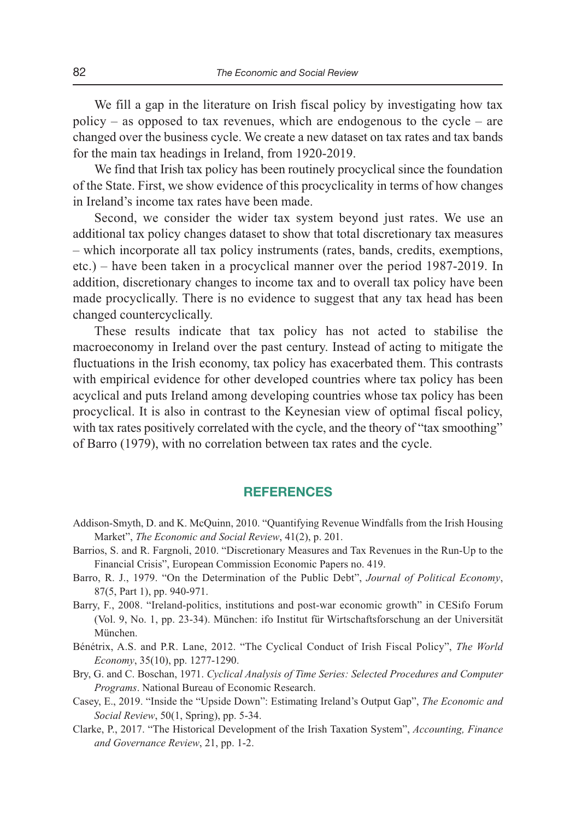We fill a gap in the literature on Irish fiscal policy by investigating how tax policy – as opposed to tax revenues, which are endogenous to the cycle – are changed over the business cycle. We create a new dataset on tax rates and tax bands for the main tax headings in Ireland, from 1920-2019.

We find that Irish tax policy has been routinely procyclical since the foundation of the State. First, we show evidence of this procyclicality in terms of how changes in Ireland's income tax rates have been made.

Second, we consider the wider tax system beyond just rates. We use an additional tax policy changes dataset to show that total discretionary tax measures – which incorporate all tax policy instruments (rates, bands, credits, exemptions, etc.) – have been taken in a procyclical manner over the period 1987-2019. In addition, discretionary changes to income tax and to overall tax policy have been made procyclically. There is no evidence to suggest that any tax head has been changed countercyclically.

These results indicate that tax policy has not acted to stabilise the macroeconomy in Ireland over the past century. Instead of acting to mitigate the fluctuations in the Irish economy, tax policy has exacerbated them. This contrasts with empirical evidence for other developed countries where tax policy has been acyclical and puts Ireland among developing countries whose tax policy has been procyclical. It is also in contrast to the Keynesian view of optimal fiscal policy, with tax rates positively correlated with the cycle, and the theory of "tax smoothing" of Barro (1979), with no correlation between tax rates and the cycle.

#### **REFERENCES**

- Addison-Smyth, D. and K. McQuinn, 2010. "Quantifying Revenue Windfalls from the Irish Housing Market", *The Economic and Social Review*, 41(2), p. 201.
- Barrios, S. and R. Fargnoli, 2010. "Discretionary Measures and Tax Revenues in the Run-Up to the Financial Crisis", European Commission Economic Papers no. 419.
- Barro, R. J., 1979. "On the Determination of the Public Debt", *Journal of Political Economy*, 87(5, Part 1), pp. 940-971.
- Barry, F., 2008. "Ireland-politics, institutions and post-war economic growth" in CESifo Forum (Vol. 9, No. 1, pp. 23-34). München: ifo Institut für Wirtschaftsforschung an der Universität München.
- Bénétrix, A.S. and P.R. Lane, 2012. "The Cyclical Conduct of Irish Fiscal Policy", *The World Economy*, 35(10), pp. 1277-1290.
- Bry, G. and C. Boschan, 1971. *Cyclical Analysis of Time Series: Selected Procedures and Computer Programs*. National Bureau of Economic Research.
- Casey, E., 2019. "Inside the "Upside Down": Estimating Ireland's Output Gap", *The Economic and Social Review*, 50(1, Spring), pp. 5-34.
- Clarke, P., 2017. "The Historical Development of the Irish Taxation System", *Accounting, Finance and Governance Review*, 21, pp. 1-2.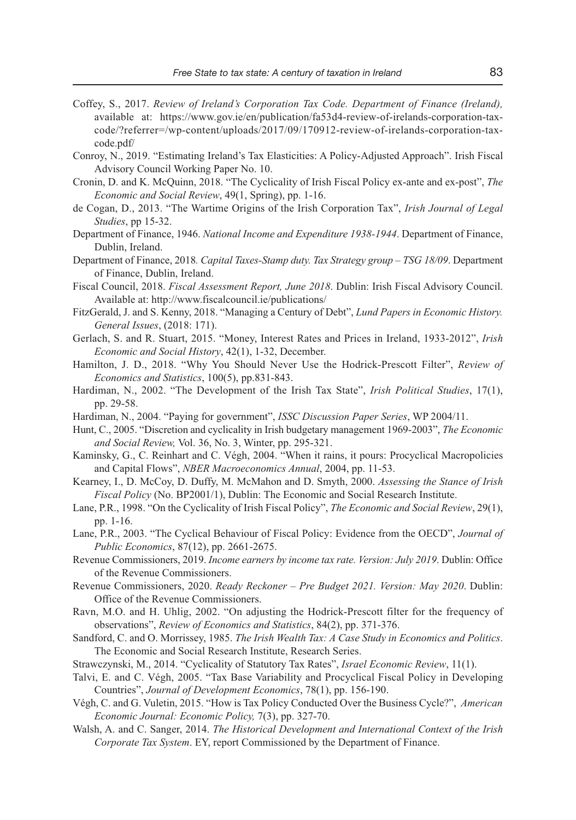- Coffey, S., 2017. *Review of Ireland's Corporation Tax Code. Department of Finance (Ireland),* available at: https://www.gov.ie/en/publication/fa53d4-review-of-irelands-corporation-taxcode/?referrer=/wp-content/uploads/2017/09/170912-review-of-irelands-corporation-taxcode.pdf/
- Conroy, N., 2019. "Estimating Ireland's Tax Elasticities: A Policy-Adjusted Approach". Irish Fiscal Advisory Council Working Paper No. 10.
- Cronin, D. and K. McQuinn, 2018. "The Cyclicality of Irish Fiscal Policy ex-ante and ex-post", *The Economic and Social Review*, 49(1, Spring), pp. 1-16.
- de Cogan, D., 2013. "The Wartime Origins of the Irish Corporation Tax", *Irish Journal of Legal Studies*, pp 15-32.
- Department of Finance, 1946. *National Income and Expenditure 1938-1944*. Department of Finance, Dublin, Ireland.
- Department of Finance, 2018*. Capital Taxes-Stamp duty. Tax Strategy group TSG 18/09*. Department of Finance, Dublin, Ireland.
- Fiscal Council, 2018. *Fiscal Assessment Report, June 2018*. Dublin: Irish Fiscal Advisory Council. Available at: http://www.fiscalcouncil.ie/publications/
- FitzGerald, J. and S. Kenny, 2018. "Managing a Century of Debt", *Lund Papers in Economic History. General Issues*, (2018: 171).
- Gerlach, S. and R. Stuart, 2015. "Money, Interest Rates and Prices in Ireland, 1933-2012", *Irish Economic and Social History*, 42(1), 1-32, December.
- Hamilton, J. D., 2018. "Why You Should Never Use the Hodrick-Prescott Filter", *Review of Economics and Statistics*, 100(5), pp.831-843.
- Hardiman, N., 2002. "The Development of the Irish Tax State", *Irish Political Studies*, 17(1), pp. 29-58.
- Hardiman, N., 2004. "Paying for government", *ISSC Discussion Paper Series*, WP 2004/11.
- Hunt, C., 2005. "Discretion and cyclicality in Irish budgetary management 1969-2003", *The Economic and Social Review,* Vol. 36, No. 3, Winter, pp. 295-321.
- Kaminsky, G., C. Reinhart and C. Végh, 2004. "When it rains, it pours: Procyclical Macropolicies and Capital Flows", *NBER Macroeconomics Annual*, 2004, pp. 11-53.
- Kearney, I., D. McCoy, D. Duffy, M. McMahon and D. Smyth, 2000. *Assessing the Stance of Irish Fiscal Policy* (No. BP2001/1), Dublin: The Economic and Social Research Institute.
- Lane, P.R., 1998. "On the Cyclicality of Irish Fiscal Policy", *The Economic and Social Review*, 29(1), pp. 1-16.
- Lane, P.R., 2003. "The Cyclical Behaviour of Fiscal Policy: Evidence from the OECD", *Journal of Public Economics*, 87(12), pp. 2661-2675.
- Revenue Commissioners, 2019. *Income earners by income tax rate. Version: July 2019*. Dublin: Office of the Revenue Commissioners.
- Revenue Commissioners, 2020. *Ready Reckoner Pre Budget 2021. Version: May 2020*. Dublin: Office of the Revenue Commissioners.
- Ravn, M.O. and H. Uhlig, 2002. "On adjusting the Hodrick-Prescott filter for the frequency of observations", *Review of Economics and Statistics*, 84(2), pp. 371-376.
- Sandford, C. and O. Morrissey, 1985. *The Irish Wealth Tax: A Case Study in Economics and Politics*. The Economic and Social Research Institute, Research Series.
- Strawczynski, M., 2014. "Cyclicality of Statutory Tax Rates", *Israel Economic Review*, 11(1).
- Talvi, E. and C. Végh, 2005. "Tax Base Variability and Procyclical Fiscal Policy in Developing Countries", *Journal of Development Economics*, 78(1), pp. 156-190.
- Végh, C. and G. Vuletin, 2015. "How is Tax Policy Conducted Over the Business Cycle?", *American Economic Journal: Economic Policy,* 7(3), pp. 327-70.
- Walsh, A. and C. Sanger, 2014. *The Historical Development and International Context of the Irish Corporate Tax System*. EY, report Commissioned by the Department of Finance.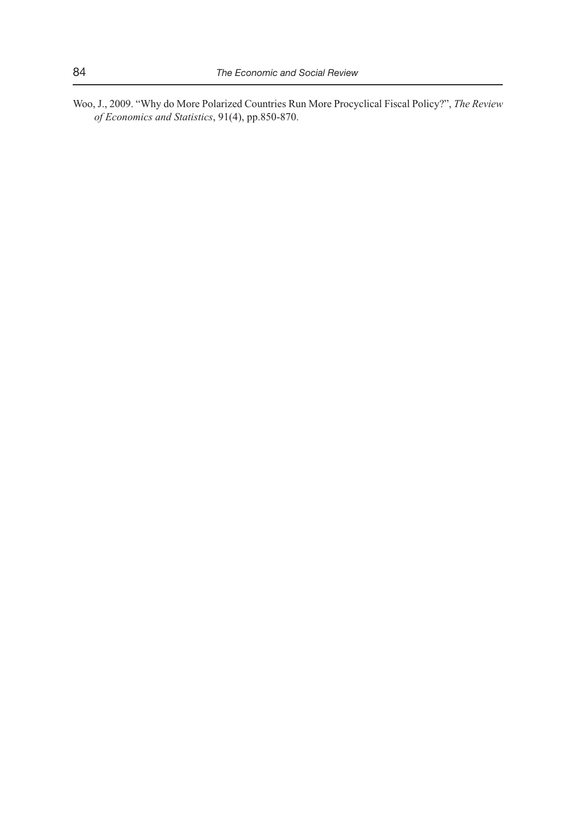Woo, J., 2009. "Why do More Polarized Countries Run More Procyclical Fiscal Policy?", *The Review of Economics and Statistics*, 91(4), pp.850-870.